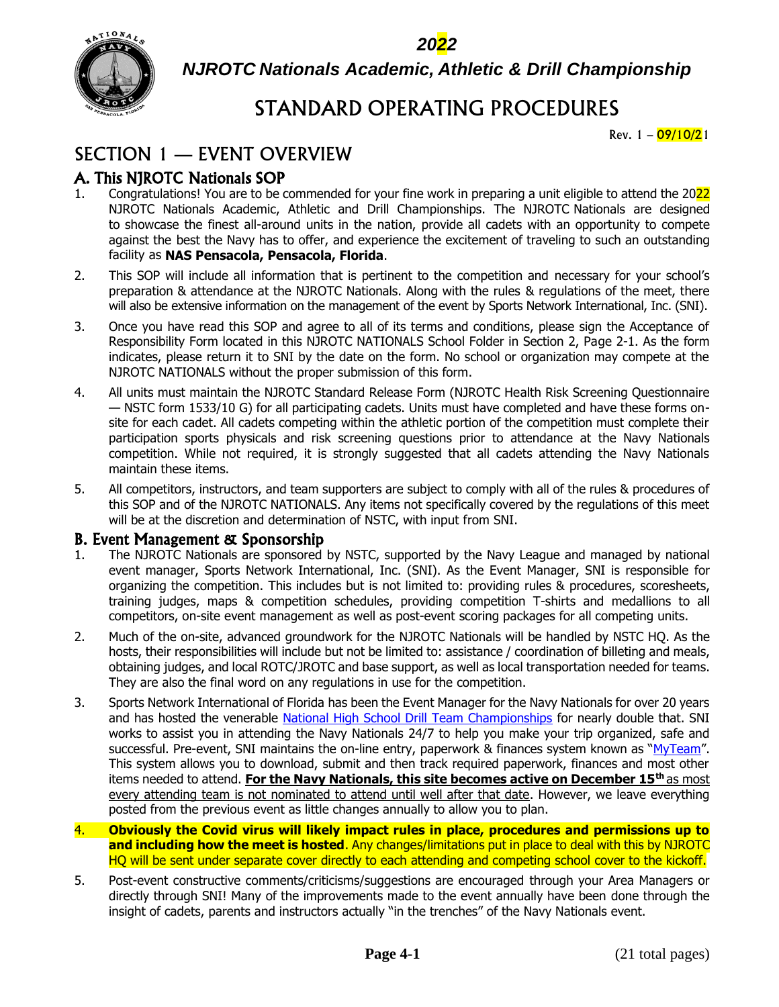*2022*



*NJROTC Nationals Academic, Athletic & Drill Championship*

# STANDARD OPERATING PROCEDURES

Rev.  $1 - \frac{09}{10/21}$ 

# SECTION 1 — EVENT OVERVIEW

# A. This NJROTC Nationals SOP

- 1. Congratulations! You are to be commended for your fine work in preparing a unit eligible to attend the 2022 NJROTC Nationals Academic, Athletic and Drill Championships. The NJROTC Nationals are designed to showcase the finest all-around units in the nation, provide all cadets with an opportunity to compete against the best the Navy has to offer, and experience the excitement of traveling to such an outstanding facility as **NAS Pensacola, Pensacola, Florida**.
- 2. This SOP will include all information that is pertinent to the competition and necessary for your school's preparation & attendance at the NJROTC Nationals. Along with the rules & regulations of the meet, there will also be extensive information on the management of the event by Sports Network International, Inc. (SNI).
- 3. Once you have read this SOP and agree to all of its terms and conditions, please sign the Acceptance of Responsibility Form located in this NJROTC NATIONALS School Folder in Section 2, Page 2-1. As the form indicates, please return it to SNI by the date on the form. No school or organization may compete at the NJROTC NATIONALS without the proper submission of this form.
- 4. All units must maintain the NJROTC Standard Release Form (NJROTC Health Risk Screening Questionnaire — NSTC form 1533/10 G) for all participating cadets. Units must have completed and have these forms onsite for each cadet. All cadets competing within the athletic portion of the competition must complete their participation sports physicals and risk screening questions prior to attendance at the Navy Nationals competition. While not required, it is strongly suggested that all cadets attending the Navy Nationals maintain these items.
- 5. All competitors, instructors, and team supporters are subject to comply with all of the rules & procedures of this SOP and of the NJROTC NATIONALS. Any items not specifically covered by the regulations of this meet will be at the discretion and determination of NSTC, with input from SNI.

#### B. Event Management & Sponsorship

- 1. The NJROTC Nationals are sponsored by NSTC, supported by the Navy League and managed by national event manager, Sports Network International, Inc. (SNI). As the Event Manager, SNI is responsible for organizing the competition. This includes but is not limited to: providing rules & procedures, scoresheets, training judges, maps & competition schedules, providing competition T-shirts and medallions to all competitors, on-site event management as well as post-event scoring packages for all competing units.
- 2. Much of the on-site, advanced groundwork for the NJROTC Nationals will be handled by NSTC HQ. As the hosts, their responsibilities will include but not be limited to: assistance / coordination of billeting and meals, obtaining judges, and local ROTC/JROTC and base support, as well as local transportation needed for teams. They are also the final word on any regulations in use for the competition.
- 3. Sports Network International of Florida has been the Event Manager for the Navy Nationals for over 20 years and has hosted the venerable [National High School Drill Team Championships](http://nhsdtc.thenationals.net/) for nearly double that. SNI works to assist you in attending the Navy Nationals 24/7 to help you make your trip organized, safe and successful. Pre-event, SNI maintains the on-line entry, paperwork & finances system known as "[MyTeam](http://myschool.thenationals.net/)". This system allows you to download, submit and then track required paperwork, finances and most other items needed to attend. **For the Navy Nationals, this site becomes active on December 15th** as most every attending team is not nominated to attend until well after that date. However, we leave everything posted from the previous event as little changes annually to allow you to plan.
- 4. **Obviously the Covid virus will likely impact rules in place, procedures and permissions up to and including how the meet is hosted**. Any changes/limitations put in place to deal with this by NJROTC HQ will be sent under separate cover directly to each attending and competing school cover to the kickoff.
- 5. Post-event constructive comments/criticisms/suggestions are encouraged through your Area Managers or directly through SNI! Many of the improvements made to the event annually have been done through the insight of cadets, parents and instructors actually "in the trenches" of the Navy Nationals event.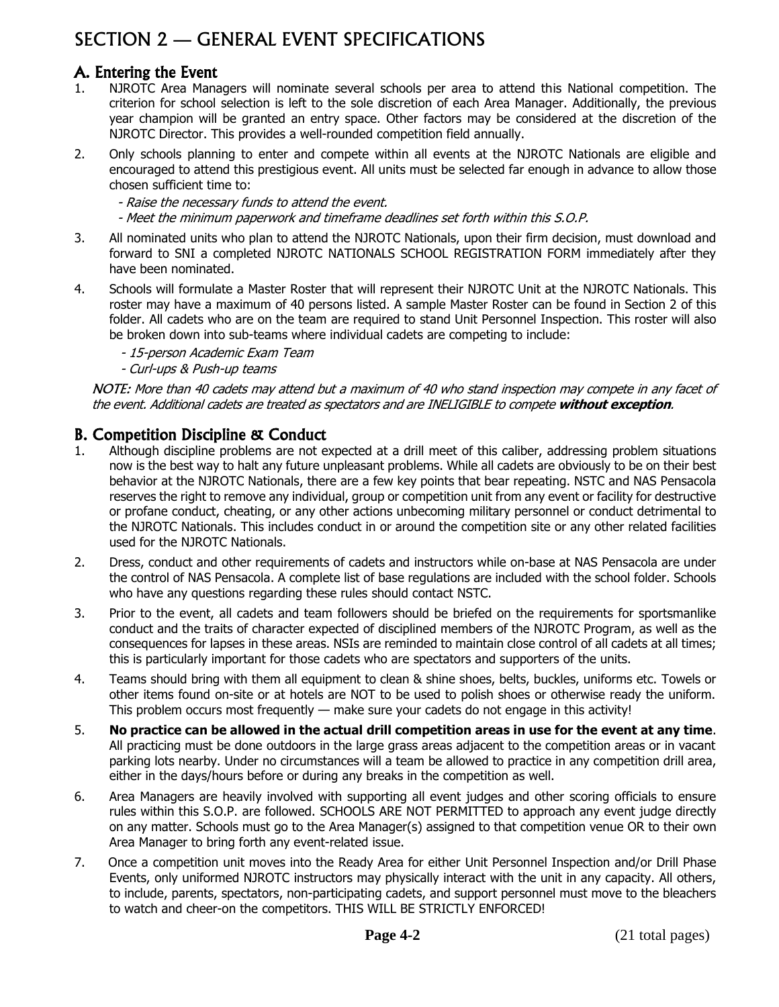# SECTION 2 — GENERAL EVENT SPECIFICATIONS

# A. Entering the Event

- 1. NJROTC Area Managers will nominate several schools per area to attend this National competition. The criterion for school selection is left to the sole discretion of each Area Manager. Additionally, the previous year champion will be granted an entry space. Other factors may be considered at the discretion of the NJROTC Director. This provides a well-rounded competition field annually.
- 2. Only schools planning to enter and compete within all events at the NJROTC Nationals are eligible and encouraged to attend this prestigious event. All units must be selected far enough in advance to allow those chosen sufficient time to:
	- Raise the necessary funds to attend the event.
	- Meet the minimum paperwork and timeframe deadlines set forth within this S.O.P.
- 3. All nominated units who plan to attend the NJROTC Nationals, upon their firm decision, must download and forward to SNI a completed NJROTC NATIONALS SCHOOL REGISTRATION FORM immediately after they have been nominated.
- 4. Schools will formulate a Master Roster that will represent their NJROTC Unit at the NJROTC Nationals. This roster may have a maximum of 40 persons listed. A sample Master Roster can be found in Section 2 of this folder. All cadets who are on the team are required to stand Unit Personnel Inspection. This roster will also be broken down into sub-teams where individual cadets are competing to include:
	- 15-person Academic Exam Team
	- Curl-ups & Push-up teams

NOTE: More than 40 cadets may attend but a maximum of 40 who stand inspection may compete in any facet of the event. Additional cadets are treated as spectators and are INELIGIBLE to compete **without exception**.

### B. Competition Discipline & Conduct

- 1. Although discipline problems are not expected at a drill meet of this caliber, addressing problem situations now is the best way to halt any future unpleasant problems. While all cadets are obviously to be on their best behavior at the NJROTC Nationals, there are a few key points that bear repeating. NSTC and NAS Pensacola reserves the right to remove any individual, group or competition unit from any event or facility for destructive or profane conduct, cheating, or any other actions unbecoming military personnel or conduct detrimental to the NJROTC Nationals. This includes conduct in or around the competition site or any other related facilities used for the NJROTC Nationals.
- 2. Dress, conduct and other requirements of cadets and instructors while on-base at NAS Pensacola are under the control of NAS Pensacola. A complete list of base regulations are included with the school folder. Schools who have any questions regarding these rules should contact NSTC.
- 3. Prior to the event, all cadets and team followers should be briefed on the requirements for sportsmanlike conduct and the traits of character expected of disciplined members of the NJROTC Program, as well as the consequences for lapses in these areas. NSIs are reminded to maintain close control of all cadets at all times; this is particularly important for those cadets who are spectators and supporters of the units.
- 4. Teams should bring with them all equipment to clean & shine shoes, belts, buckles, uniforms etc. Towels or other items found on-site or at hotels are NOT to be used to polish shoes or otherwise ready the uniform. This problem occurs most frequently — make sure your cadets do not engage in this activity!
- 5. **No practice can be allowed in the actual drill competition areas in use for the event at any time**. All practicing must be done outdoors in the large grass areas adjacent to the competition areas or in vacant parking lots nearby. Under no circumstances will a team be allowed to practice in any competition drill area, either in the days/hours before or during any breaks in the competition as well.
- 6. Area Managers are heavily involved with supporting all event judges and other scoring officials to ensure rules within this S.O.P. are followed. SCHOOLS ARE NOT PERMITTED to approach any event judge directly on any matter. Schools must go to the Area Manager(s) assigned to that competition venue OR to their own Area Manager to bring forth any event-related issue.
- 7. Once a competition unit moves into the Ready Area for either Unit Personnel Inspection and/or Drill Phase Events, only uniformed NJROTC instructors may physically interact with the unit in any capacity. All others, to include, parents, spectators, non-participating cadets, and support personnel must move to the bleachers to watch and cheer-on the competitors. THIS WILL BE STRICTLY ENFORCED!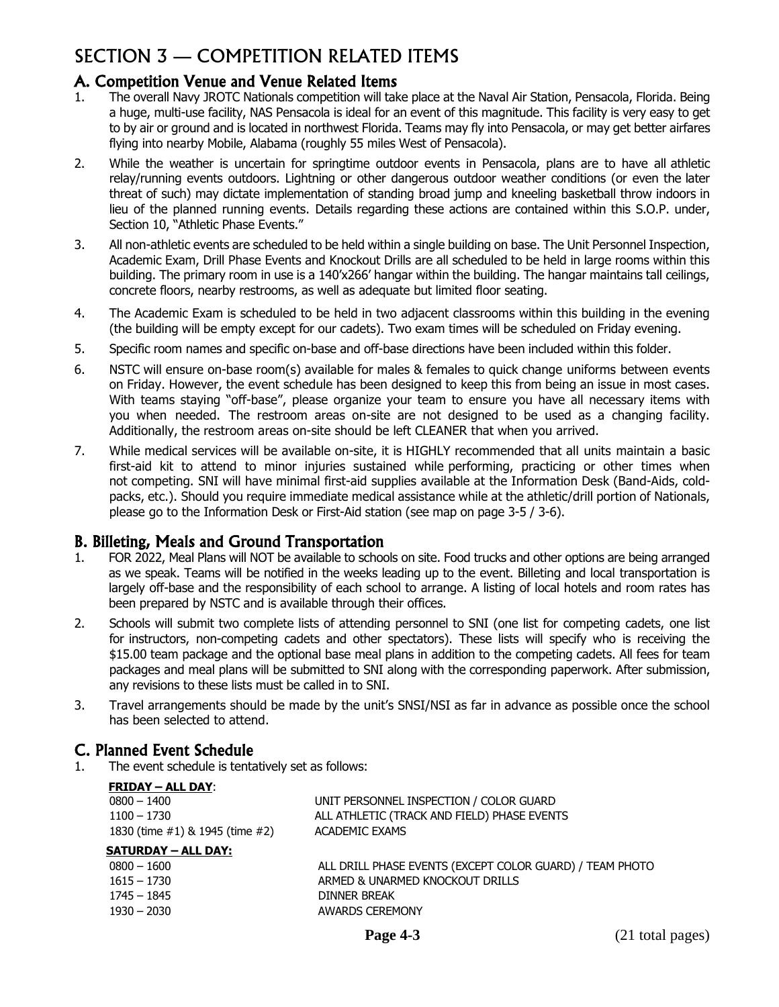# SECTION 3 — COMPETITION RELATED ITEMS

## A. Competition Venue and Venue Related Items

- 1. The overall Navy JROTC Nationals competition will take place at the Naval Air Station, Pensacola, Florida. Being a huge, multi-use facility, NAS Pensacola is ideal for an event of this magnitude. This facility is very easy to get to by air or ground and is located in northwest Florida. Teams may fly into Pensacola, or may get better airfares flying into nearby Mobile, Alabama (roughly 55 miles West of Pensacola).
- 2. While the weather is uncertain for springtime outdoor events in Pensacola, plans are to have all athletic relay/running events outdoors. Lightning or other dangerous outdoor weather conditions (or even the later threat of such) may dictate implementation of standing broad jump and kneeling basketball throw indoors in lieu of the planned running events. Details regarding these actions are contained within this S.O.P. under, Section 10, "Athletic Phase Events."
- 3. All non-athletic events are scheduled to be held within a single building on base. The Unit Personnel Inspection, Academic Exam, Drill Phase Events and Knockout Drills are all scheduled to be held in large rooms within this building. The primary room in use is a 140'x266' hangar within the building. The hangar maintains tall ceilings, concrete floors, nearby restrooms, as well as adequate but limited floor seating.
- 4. The Academic Exam is scheduled to be held in two adjacent classrooms within this building in the evening (the building will be empty except for our cadets). Two exam times will be scheduled on Friday evening.
- 5. Specific room names and specific on-base and off-base directions have been included within this folder.
- 6. NSTC will ensure on-base room(s) available for males & females to quick change uniforms between events on Friday. However, the event schedule has been designed to keep this from being an issue in most cases. With teams staying "off-base", please organize your team to ensure you have all necessary items with you when needed. The restroom areas on-site are not designed to be used as a changing facility. Additionally, the restroom areas on-site should be left CLEANER that when you arrived.
- 7. While medical services will be available on-site, it is HIGHLY recommended that all units maintain a basic first-aid kit to attend to minor injuries sustained while performing, practicing or other times when not competing. SNI will have minimal first-aid supplies available at the Information Desk (Band-Aids, coldpacks, etc.). Should you require immediate medical assistance while at the athletic/drill portion of Nationals, please go to the Information Desk or First-Aid station (see map on page 3-5 / 3-6).

### B. Billeting, Meals and Ground Transportation

- 1. FOR 2022, Meal Plans will NOT be available to schools on site. Food trucks and other options are being arranged as we speak. Teams will be notified in the weeks leading up to the event. Billeting and local transportation is largely off-base and the responsibility of each school to arrange. A listing of local hotels and room rates has been prepared by NSTC and is available through their offices.
- 2. Schools will submit two complete lists of attending personnel to SNI (one list for competing cadets, one list for instructors, non-competing cadets and other spectators). These lists will specify who is receiving the \$15.00 team package and the optional base meal plans in addition to the competing cadets. All fees for team packages and meal plans will be submitted to SNI along with the corresponding paperwork. After submission, any revisions to these lists must be called in to SNI.
- 3. Travel arrangements should be made by the unit's SNSI/NSI as far in advance as possible once the school has been selected to attend.

## C. Planned Event Schedule

**FRIDAY – ALL DAY**:

1. The event schedule is tentatively set as follows:

1745 – 1845 DINNER BREAK 1930 – 2030 AWARDS CEREMONY

| <b>FRIDAT – ALL DAT:</b>                |                                                          |
|-----------------------------------------|----------------------------------------------------------|
| $0800 - 1400$                           | UNIT PERSONNEL INSPECTION / COLOR GUARD                  |
| $1100 - 1730$                           | ALL ATHLETIC (TRACK AND FIELD) PHASE EVENTS              |
| 1830 (time $\#1$ ) & 1945 (time $\#2$ ) | ACADEMIC EXAMS                                           |
| <b>SATURDAY – ALL DAY:</b>              |                                                          |
| $0800 - 1600$                           | ALL DRILL PHASE EVENTS (EXCEPT COLOR GUARD) / TEAM PHOTO |
| $1615 - 1730$                           | ARMED & UNARMED KNOCKOUT DRILLS                          |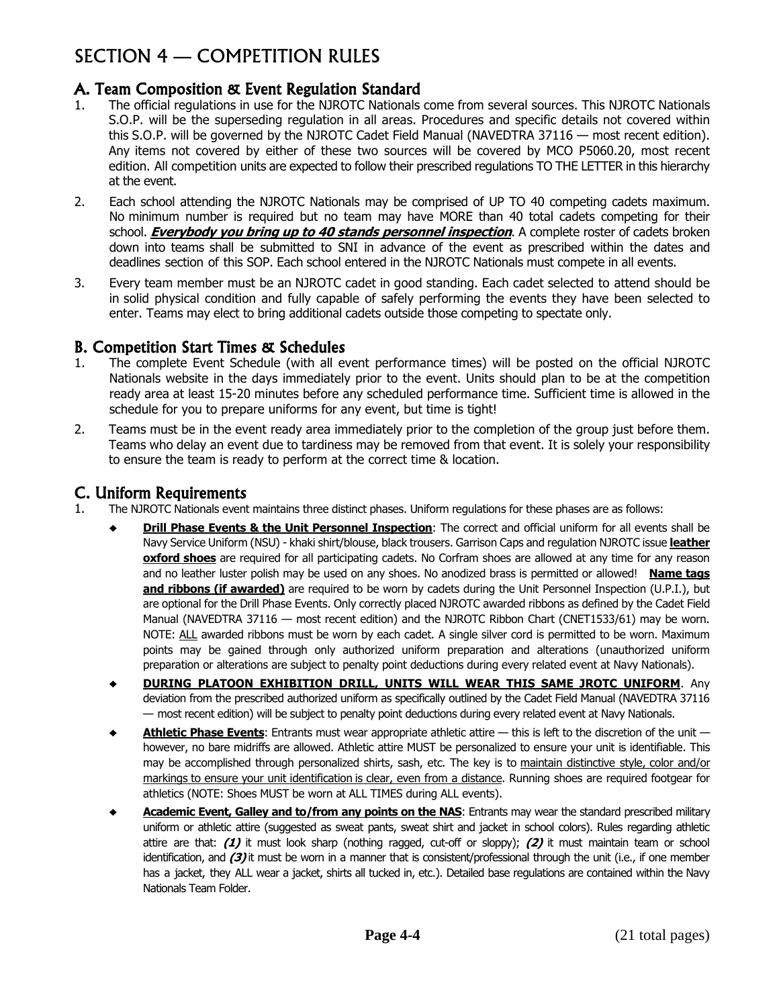# SECTION 4 — COMPETITION RULES

# A. Team Composition & Event Regulation Standard

- 1. The official regulations in use for the NJROTC Nationals come from several sources. This NJROTC Nationals S.O.P. will be the superseding regulation in all areas. Procedures and specific details not covered within this S.O.P. will be governed by the NJROTC Cadet Field Manual (NAVEDTRA 37116 — most recent edition). Any items not covered by either of these two sources will be covered by MCO P5060.20, most recent edition. All competition units are expected to follow their prescribed regulations TO THE LETTER in this hierarchy at the event.
- 2. Each school attending the NJROTC Nationals may be comprised of UP TO 40 competing cadets maximum. No minimum number is required but no team may have MORE than 40 total cadets competing for their school. **Everybody you bring up to 40 stands personnel inspection**. A complete roster of cadets broken down into teams shall be submitted to SNI in advance of the event as prescribed within the dates and deadlines section of this SOP. Each school entered in the NJROTC Nationals must compete in all events.
- 3. Every team member must be an NJROTC cadet in good standing. Each cadet selected to attend should be in solid physical condition and fully capable of safely performing the events they have been selected to enter. Teams may elect to bring additional cadets outside those competing to spectate only.

## B. Competition Start Times & Schedules

- 1. The complete Event Schedule (with all event performance times) will be posted on the official NJROTC Nationals website in the days immediately prior to the event. Units should plan to be at the competition ready area at least 15-20 minutes before any scheduled performance time. Sufficient time is allowed in the schedule for you to prepare uniforms for any event, but time is tight!
- 2. Teams must be in the event ready area immediately prior to the completion of the group just before them. Teams who delay an event due to tardiness may be removed from that event. It is solely your responsibility to ensure the team is ready to perform at the correct time & location.

## C. Uniform Requirements

- 1. The NJROTC Nationals event maintains three distinct phases. Uniform regulations for these phases are as follows:
	- **Drill Phase Events & the Unit Personnel Inspection**: The correct and official uniform for all events shall be Navy Service Uniform (NSU) - khaki shirt/blouse, black trousers. Garrison Caps and regulation NJROTC issue **leather oxford shoes** are required for all participating cadets. No Corfram shoes are allowed at any time for any reason and no leather luster polish may be used on any shoes. No anodized brass is permitted or allowed! **Name tags and ribbons (if awarded)** are required to be worn by cadets during the Unit Personnel Inspection (U.P.I.), but are optional for the Drill Phase Events. Only correctly placed NJROTC awarded ribbons as defined by the Cadet Field Manual (NAVEDTRA 37116 — most recent edition) and the NJROTC Ribbon Chart (CNET1533/61) may be worn. NOTE: ALL awarded ribbons must be worn by each cadet. A single silver cord is permitted to be worn. Maximum points may be gained through only authorized uniform preparation and alterations (unauthorized uniform preparation or alterations are subject to penalty point deductions during every related event at Navy Nationals).
	- ♦ **DURING PLATOON EXHIBITION DRILL, UNITS WILL WEAR THIS SAME JROTC UNIFORM**. Any deviation from the prescribed authorized uniform as specifically outlined by the Cadet Field Manual (NAVEDTRA 37116 — most recent edition) will be subject to penalty point deductions during every related event at Navy Nationals.
	- Athletic Phase Events: Entrants must wear appropriate athletic attire this is left to the discretion of the unit however, no bare midriffs are allowed. Athletic attire MUST be personalized to ensure your unit is identifiable. This may be accomplished through personalized shirts, sash, etc. The key is to maintain distinctive style, color and/or markings to ensure your unit identification is clear, even from a distance. Running shoes are required footgear for athletics (NOTE: Shoes MUST be worn at ALL TIMES during ALL events).
	- ♦ **Academic Event, Galley and to/from any points on the NAS**: Entrants may wear the standard prescribed military uniform or athletic attire (suggested as sweat pants, sweat shirt and jacket in school colors). Rules regarding athletic attire are that: **(1)** it must look sharp (nothing ragged, cut-off or sloppy); **(2)** it must maintain team or school identification, and **(3)** it must be worn in a manner that is consistent/professional through the unit (i.e., if one member has a jacket, they ALL wear a jacket, shirts all tucked in, etc.). Detailed base regulations are contained within the Navy Nationals Team Folder.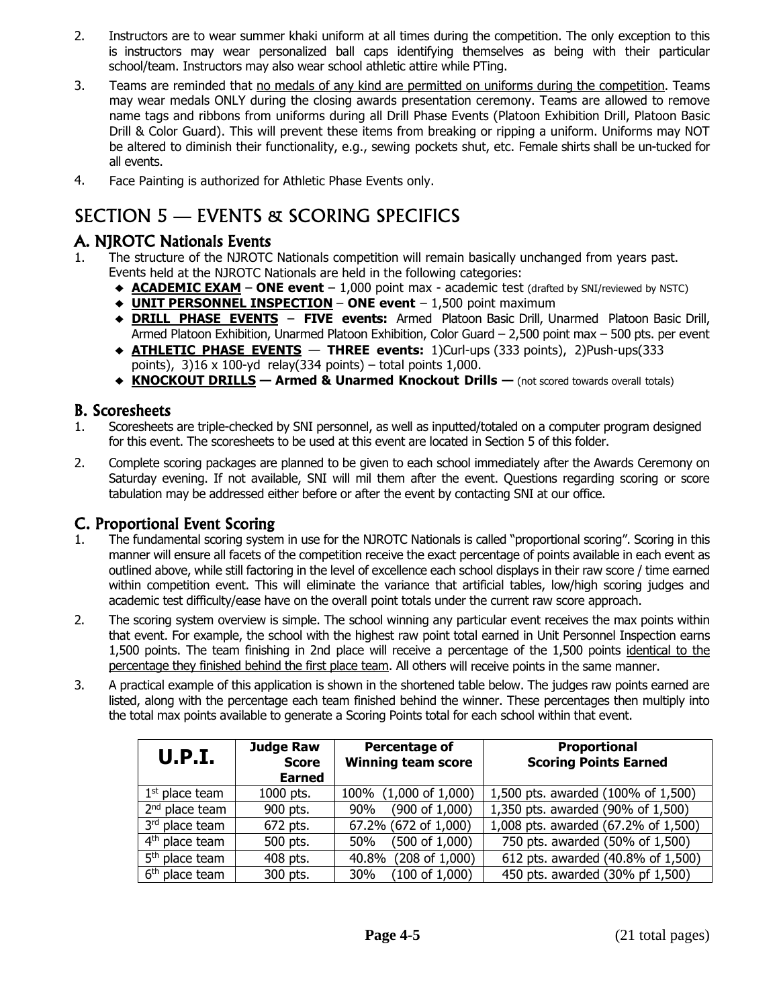- 2. Instructors are to wear summer khaki uniform at all times during the competition. The only exception to this is instructors may wear personalized ball caps identifying themselves as being with their particular school/team. Instructors may also wear school athletic attire while PTing.
- 3. Teams are reminded that no medals of any kind are permitted on uniforms during the competition. Teams may wear medals ONLY during the closing awards presentation ceremony. Teams are allowed to remove name tags and ribbons from uniforms during all Drill Phase Events (Platoon Exhibition Drill, Platoon Basic Drill & Color Guard). This will prevent these items from breaking or ripping a uniform. Uniforms may NOT be altered to diminish their functionality, e.g., sewing pockets shut, etc. Female shirts shall be un-tucked for all events.
- 4. Face Painting is authorized for Athletic Phase Events only.

# SECTION 5 — EVENTS & SCORING SPECIFICS

# A. NJROTC Nationals Events

- 1. The structure of the NJROTC Nationals competition will remain basically unchanged from years past. Events held at the NJROTC Nationals are held in the following categories:
	- ♦ **ACADEMIC EXAM ONE event** 1,000 point max academic test (drafted by SNI/reviewed by NSTC)
	- ♦ **UNIT PERSONNEL INSPECTION ONE event** 1,500 point maximum
	- ♦ **DRILL PHASE EVENTS FIVE events:** Armed Platoon Basic Drill, Unarmed Platoon Basic Drill, Armed Platoon Exhibition, Unarmed Platoon Exhibition, Color Guard – 2,500 point max – 500 pts. per event
	- ♦ **ATHLETIC PHASE EVENTS THREE events:** 1)Curl-ups (333 points), 2)Push-ups(333 points),  $3$ )16 x 100-yd relay(334 points) – total points 1,000.
	- ♦ **KNOCKOUT DRILLS — Armed & Unarmed Knockout Drills —** (not scored towards overall totals)

## B. Scoresheets

- 1. Scoresheets are triple-checked by SNI personnel, as well as inputted/totaled on a computer program designed for this event. The scoresheets to be used at this event are located in Section 5 of this folder.
- 2. Complete scoring packages are planned to be given to each school immediately after the Awards Ceremony on Saturday evening. If not available, SNI will mil them after the event. Questions regarding scoring or score tabulation may be addressed either before or after the event by contacting SNI at our office.

## C. Proportional Event Scoring

- 1. The fundamental scoring system in use for the NJROTC Nationals is called "proportional scoring". Scoring in this manner will ensure all facets of the competition receive the exact percentage of points available in each event as outlined above, while still factoring in the level of excellence each school displays in their raw score / time earned within competition event. This will eliminate the variance that artificial tables, low/high scoring judges and academic test difficulty/ease have on the overall point totals under the current raw score approach.
- 2. The scoring system overview is simple. The school winning any particular event receives the max points within that event. For example, the school with the highest raw point total earned in Unit Personnel Inspection earns 1,500 points. The team finishing in 2nd place will receive a percentage of the 1,500 points identical to the percentage they finished behind the first place team. All others will receive points in the same manner.
- 3. A practical example of this application is shown in the shortened table below. The judges raw points earned are listed, along with the percentage each team finished behind the winner. These percentages then multiply into the total max points available to generate a Scoring Points total for each school within that event.

| U.P.I.                     | <b>Judge Raw</b><br><b>Score</b><br><b>Earned</b> | Percentage of<br><b>Winning team score</b> | <b>Proportional</b><br><b>Scoring Points Earned</b> |
|----------------------------|---------------------------------------------------|--------------------------------------------|-----------------------------------------------------|
| $1st$ place team           | 1000 pts.                                         | $(1,000 \text{ of } 1,000)$<br>100%        | 1,500 pts. awarded (100% of 1,500)                  |
| $2nd$ place team           | 900 pts.                                          | $(900 \text{ of } 1,000)$<br>90%           | 1,350 pts. awarded (90% of 1,500)                   |
| 3rd place team             | 672 pts.                                          | 67.2% (672 of 1,000)                       | 1,008 pts. awarded (67.2% of 1,500)                 |
| 4 <sup>th</sup> place team | 500 pts.                                          | $(500 \text{ of } 1,000)$<br>50%           | 750 pts. awarded (50% of 1,500)                     |
| 5 <sup>th</sup> place team | 408 pts.                                          | (208 of 1,000)<br>40.8%                    | 612 pts. awarded (40.8% of 1,500)                   |
| $6th$ place team           | 300 pts.                                          | $(100 \text{ of } 1,000)$<br>30%           | 450 pts. awarded (30% pf 1,500)                     |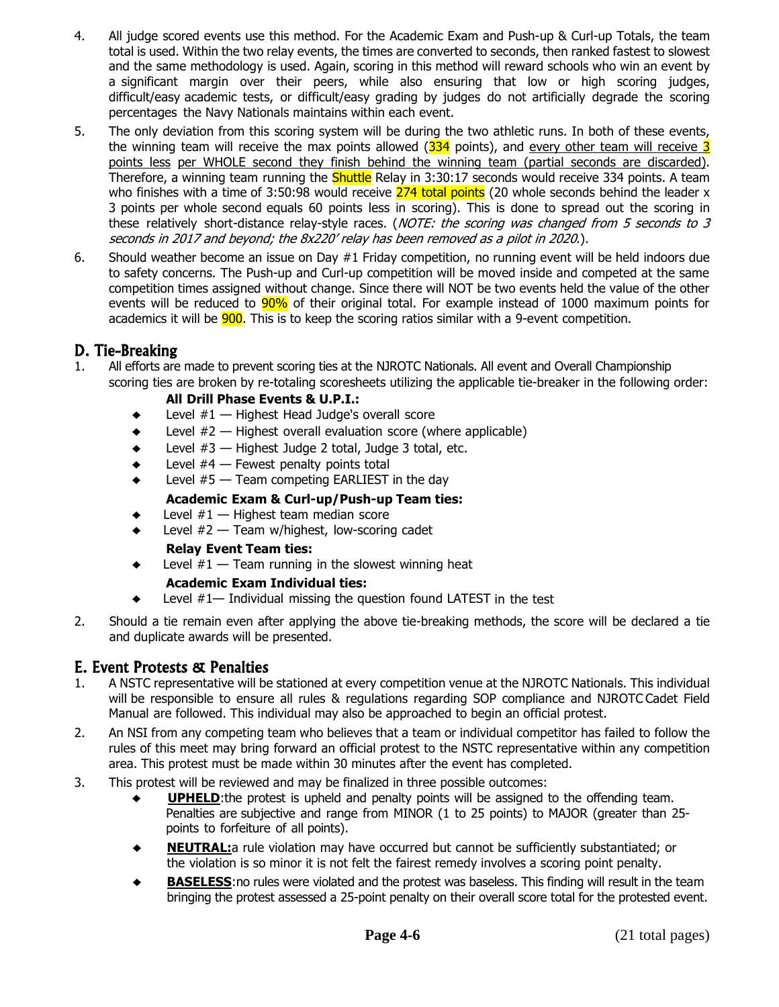- 4. All judge scored events use this method. For the Academic Exam and Push-up & Curl-up Totals, the team total is used. Within the two relay events, the times are converted to seconds, then ranked fastest to slowest and the same methodology is used. Again, scoring in this method will reward schools who win an event by a significant margin over their peers, while also ensuring that low or high scoring judges, difficult/easy academic tests, or difficult/easy grading by judges do not artificially degrade the scoring percentages the Navy Nationals maintains within each event.
- 5. The only deviation from this scoring system will be during the two athletic runs. In both of these events, the winning team will receive the max points allowed  $(334)$  points), and every other team will receive  $3$ points less per WHOLE second they finish behind the winning team (partial seconds are discarded). Therefore, a winning team running the Shuttle Relay in 3:30:17 seconds would receive 334 points. A team who finishes with a time of 3:50:98 would receive 274 total points (20 whole seconds behind the leader x 3 points per whole second equals 60 points less in scoring). This is done to spread out the scoring in these relatively short-distance relay-style races. (NOTE: the scoring was changed from 5 seconds to 3 seconds in 2017 and beyond; the 8x220' relay has been removed as a pilot in 2020.).
- 6. Should weather become an issue on Day #1 Friday competition, no running event will be held indoors due to safety concerns. The Push-up and Curl-up competition will be moved inside and competed at the same competition times assigned without change. Since there will NOT be two events held the value of the other events will be reduced to 90% of their original total. For example instead of 1000 maximum points for academics it will be **900**. This is to keep the scoring ratios similar with a 9-event competition.

## D. Tie-Breaking

1. All efforts are made to prevent scoring ties at the NJROTC Nationals. All event and Overall Championship scoring ties are broken by re-totaling scoresheets utilizing the applicable tie-breaker in the following order:

#### **All Drill Phase Events & U.P.I.:**

- Level  $#1$  Highest Head Judge's overall score
- $\bullet$  Level  $#2$  Highest overall evaluation score (where applicable)
- $\bullet$  Level  $#3$  Highest Judge 2 total, Judge 3 total, etc.
- $\bullet$  Level  $#4$  Fewest penalty points total
- Level  $#5$  Team competing EARLIEST in the day

#### **Academic Exam & Curl-up/Push-up Team ties:**

- Level  $#1$  Highest team median score
- ♦ Level #2 Team w/highest, low-scoring cadet
	- **Relay Event Team ties:**
- $\bullet$  Level  $#1$  Team running in the slowest winning heat
	- **Academic Exam Individual ties:**
- $\bullet$  Level  $#1$  Individual missing the question found LATEST in the test
- 2. Should a tie remain even after applying the above tie-breaking methods, the score will be declared a tie and duplicate awards will be presented.

## E. Event Protests & Penalties

- 1. A NSTC representative will be stationed at every competition venue at the NJROTC Nationals. This individual will be responsible to ensure all rules & regulations regarding SOP compliance and NJROTC Cadet Field Manual are followed. This individual may also be approached to begin an official protest.
- 2. An NSI from any competing team who believes that a team or individual competitor has failed to follow the rules of this meet may bring forward an official protest to the NSTC representative within any competition area. This protest must be made within 30 minutes after the event has completed.
- 3. This protest will be reviewed and may be finalized in three possible outcomes:
	- ♦ **UPHELD**:the protest is upheld and penalty points will be assigned to the offending team. Penalties are subjective and range from MINOR (1 to 25 points) to MAJOR (greater than 25 points to forfeiture of all points).
	- **NEUTRAL:**a rule violation may have occurred but cannot be sufficiently substantiated; or the violation is so minor it is not felt the fairest remedy involves a scoring point penalty.
	- **BASELESS:** no rules were violated and the protest was baseless. This finding will result in the team bringing the protest assessed a 25-point penalty on their overall score total for the protested event.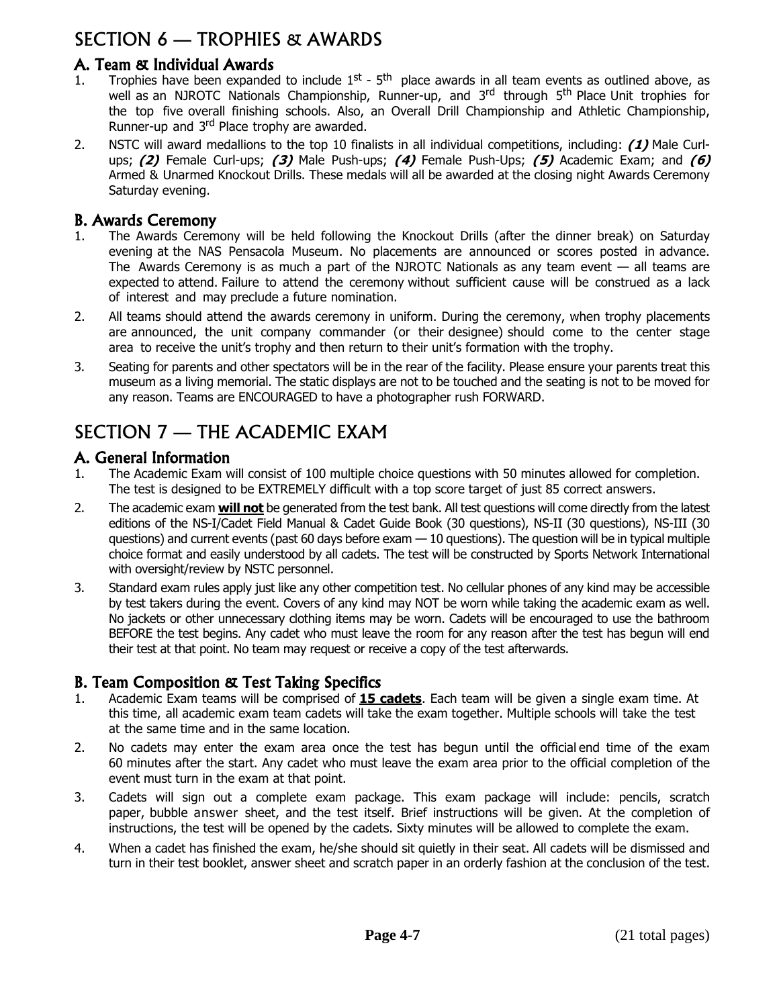# SECTION 6 — TROPHIES & AWARDS

## A. Team & Individual Awards

- 1. Trophies have been expanded to include  $1^{st}$   $5^{th}$  place awards in all team events as outlined above, as well as an NJROTC Nationals Championship, Runner-up, and 3<sup>rd</sup> through 5<sup>th</sup> Place Unit trophies for the top five overall finishing schools. Also, an Overall Drill Championship and Athletic Championship, Runner-up and 3<sup>rd</sup> Place trophy are awarded.
- 2. NSTC will award medallions to the top 10 finalists in all individual competitions, including: **(1)** Male Curlups; **(2)** Female Curl-ups; **(3)** Male Push-ups; **(4)** Female Push-Ups; **(5)** Academic Exam; and **(6)** Armed & Unarmed Knockout Drills. These medals will all be awarded at the closing night Awards Ceremony Saturday evening.

#### B. Awards Ceremony

- 1. The Awards Ceremony will be held following the Knockout Drills (after the dinner break) on Saturday evening at the NAS Pensacola Museum. No placements are announced or scores posted in advance. The Awards Ceremony is as much a part of the NJROTC Nationals as any team event  $-$  all teams are expected to attend. Failure to attend the ceremony without sufficient cause will be construed as a lack of interest and may preclude a future nomination.
- 2. All teams should attend the awards ceremony in uniform. During the ceremony, when trophy placements are announced, the unit company commander (or their designee) should come to the center stage area to receive the unit's trophy and then return to their unit's formation with the trophy.
- 3. Seating for parents and other spectators will be in the rear of the facility. Please ensure your parents treat this museum as a living memorial. The static displays are not to be touched and the seating is not to be moved for any reason. Teams are ENCOURAGED to have a photographer rush FORWARD.

# SECTION 7 — THE ACADEMIC EXAM

#### A. General Information

- 1. The Academic Exam will consist of 100 multiple choice questions with 50 minutes allowed for completion. The test is designed to be EXTREMELY difficult with a top score target of just 85 correct answers.
- 2. The academic exam **will not** be generated from the test bank. All test questions will come directly from the latest editions of the NS-I/Cadet Field Manual & Cadet Guide Book (30 questions), NS-II (30 questions), NS-III (30 questions) and current events (past 60 days before exam — 10 questions). The question will be in typical multiple choice format and easily understood by all cadets. The test will be constructed by Sports Network International with oversight/review by NSTC personnel.
- 3. Standard exam rules apply just like any other competition test. No cellular phones of any kind may be accessible by test takers during the event. Covers of any kind may NOT be worn while taking the academic exam as well. No jackets or other unnecessary clothing items may be worn. Cadets will be encouraged to use the bathroom BEFORE the test begins. Any cadet who must leave the room for any reason after the test has begun will end their test at that point. No team may request or receive a copy of the test afterwards.

### B. Team Composition & Test Taking Specifics

- 1. Academic Exam teams will be comprised of **15 cadets**. Each team will be given a single exam time. At this time, all academic exam team cadets will take the exam together. Multiple schools will take the test at the same time and in the same location.
- 2. No cadets may enter the exam area once the test has begun until the official end time of the exam 60 minutes after the start. Any cadet who must leave the exam area prior to the official completion of the event must turn in the exam at that point.
- 3. Cadets will sign out a complete exam package. This exam package will include: pencils, scratch paper, bubble answer sheet, and the test itself. Brief instructions will be given. At the completion of instructions, the test will be opened by the cadets. Sixty minutes will be allowed to complete the exam.
- 4. When a cadet has finished the exam, he/she should sit quietly in their seat. All cadets will be dismissed and turn in their test booklet, answer sheet and scratch paper in an orderly fashion at the conclusion of the test.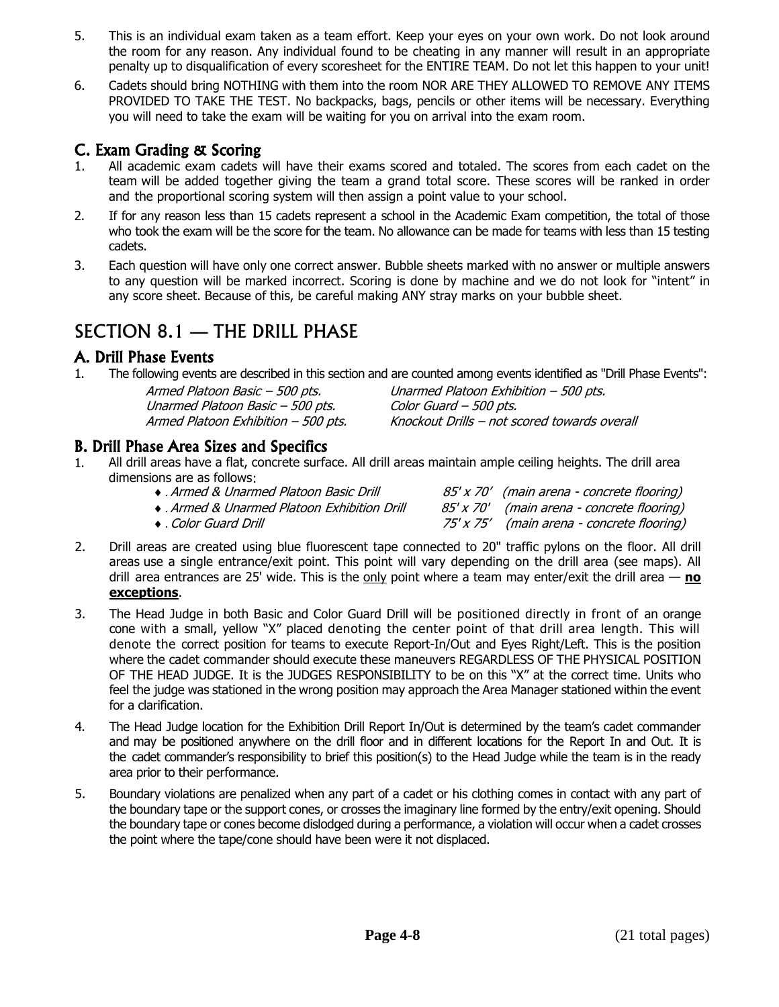- 5. This is an individual exam taken as a team effort. Keep your eyes on your own work. Do not look around the room for any reason. Any individual found to be cheating in any manner will result in an appropriate penalty up to disqualification of every scoresheet for the ENTIRE TEAM. Do not let this happen to your unit!
- 6. Cadets should bring NOTHING with them into the room NOR ARE THEY ALLOWED TO REMOVE ANY ITEMS PROVIDED TO TAKE THE TEST. No backpacks, bags, pencils or other items will be necessary. Everything you will need to take the exam will be waiting for you on arrival into the exam room.

### C. Exam Grading & Scoring

- 1. All academic exam cadets will have their exams scored and totaled. The scores from each cadet on the team will be added together giving the team a grand total score. These scores will be ranked in order and the proportional scoring system will then assign a point value to your school.
- 2. If for any reason less than 15 cadets represent a school in the Academic Exam competition, the total of those who took the exam will be the score for the team. No allowance can be made for teams with less than 15 testing cadets.
- 3. Each question will have only one correct answer. Bubble sheets marked with no answer or multiple answers to any question will be marked incorrect. Scoring is done by machine and we do not look for "intent" in any score sheet. Because of this, be careful making ANY stray marks on your bubble sheet.

# SECTION 8.1 — THE DRILL PHASE

### A. Drill Phase Events

1. The following events are described in this section and are counted among events identified as "Drill Phase Events":

| Armed Platoon Basic - 500 pts.      |
|-------------------------------------|
| Unarmed Platoon Basic - 500 pts.    |
| Armed Platoon Exhibition - 500 pts. |

Unarmed Platoon Exhibition – 500 pts. Color Guard – 500 pts. Knockout Drills – not scored towards overall

### B. Drill Phase Area Sizes and Specifics

1. All drill areas have a flat, concrete surface. All drill areas maintain ample ceiling heights. The drill area dimensions are as follows:

| ◆ Armed & Unarmed Platoon Basic Drill      | 85' x 70' (main arena - concrete flooring) |
|--------------------------------------------|--------------------------------------------|
| • Armed & Unarmed Platoon Exhibition Drill | 85' x 70' (main arena - concrete flooring) |

- . Color Guard Drill 75' x 75' (main arena concrete flooring)
- rete flooring)
- 2. Drill areas are created using blue fluorescent tape connected to 20" traffic pylons on the floor. All drill areas use a single entrance/exit point. This point will vary depending on the drill area (see maps). All drill area entrances are 25' wide. This is the only point where a team may enter/exit the drill area — **no exceptions**.
- 3. The Head Judge in both Basic and Color Guard Drill will be positioned directly in front of an orange cone with a small, yellow "X" placed denoting the center point of that drill area length. This will denote the correct position for teams to execute Report-In/Out and Eyes Right/Left. This is the position where the cadet commander should execute these maneuvers REGARDLESS OF THE PHYSICAL POSITION OF THE HEAD JUDGE. It is the JUDGES RESPONSIBILITY to be on this "X" at the correct time. Units who feel the judge was stationed in the wrong position may approach the Area Manager stationed within the event for a clarification.
- 4. The Head Judge location for the Exhibition Drill Report In/Out is determined by the team's cadet commander and may be positioned anywhere on the drill floor and in different locations for the Report In and Out. It is the cadet commander's responsibility to brief this position(s) to the Head Judge while the team is in the ready area prior to their performance.
- 5. Boundary violations are penalized when any part of a cadet or his clothing comes in contact with any part of the boundary tape or the support cones, or crosses the imaginary line formed by the entry/exit opening. Should the boundary tape or cones become dislodged during a performance, a violation will occur when a cadet crosses the point where the tape/cone should have been were it not displaced.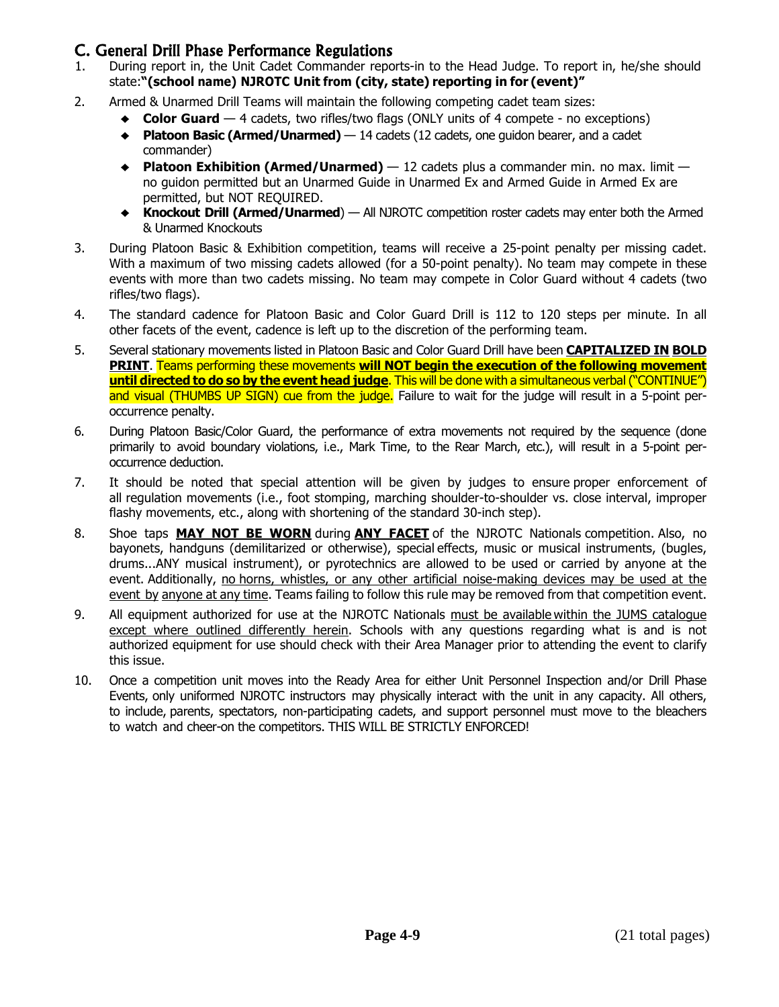### C. General Drill Phase Performance Regulations

- 1. During report in, the Unit Cadet Commander reports-in to the Head Judge. To report in, he/she should state:**"(school name) NJROTC Unit from (city, state) reporting in for (event)"**
- 2. Armed & Unarmed Drill Teams will maintain the following competing cadet team sizes:
	- ♦ **Color Guard** <sup>4</sup> cadets, two rifles/two flags (ONLY units of <sup>4</sup> compete no exceptions)
	- ♦ **Platoon Basic (Armed/Unarmed)**  14 cadets (12 cadets, one guidon bearer, and a cadet commander)
	- ♦ **Platoon Exhibition (Armed/Unarmed)** <sup>12</sup> cadets plus <sup>a</sup> commander min. no max. limit no guidon permitted but an Unarmed Guide in Unarmed Ex and Armed Guide in Armed Ex are permitted, but NOT REQUIRED.
	- ♦ **Knockout Drill (Armed/Unarmed**) All NJROTC competition roster cadets may enter both the Armed & Unarmed Knockouts
- 3. During Platoon Basic & Exhibition competition, teams will receive a 25-point penalty per missing cadet. With a maximum of two missing cadets allowed (for a 50-point penalty). No team may compete in these events with more than two cadets missing. No team may compete in Color Guard without 4 cadets (two rifles/two flags).
- 4. The standard cadence for Platoon Basic and Color Guard Drill is 112 to 120 steps per minute. In all other facets of the event, cadence is left up to the discretion of the performing team.
- 5. Several stationary movements listed in Platoon Basic and Color Guard Drill have been **CAPITALIZED IN BOLD PRINT**. Teams performing these movements **will NOT begin the execution of the following movement until directed to do so by the event head judge**. This will be done with a simultaneous verbal ("CONTINUE") and visual (THUMBS UP SIGN) cue from the judge. Failure to wait for the judge will result in a 5-point peroccurrence penalty.
- 6. During Platoon Basic/Color Guard, the performance of extra movements not required by the sequence (done primarily to avoid boundary violations, i.e., Mark Time, to the Rear March, etc.), will result in a 5-point peroccurrence deduction.
- 7. It should be noted that special attention will be given by judges to ensure proper enforcement of all regulation movements (i.e., foot stomping, marching shoulder-to-shoulder vs. close interval, improper flashy movements, etc., along with shortening of the standard 30-inch step).
- 8. Shoe taps **MAY NOT BE WORN** during **ANY FACET** of the NJROTC Nationals competition. Also, no bayonets, handguns (demilitarized or otherwise), special effects, music or musical instruments, (bugles, drums...ANY musical instrument), or pyrotechnics are allowed to be used or carried by anyone at the event. Additionally, no horns, whistles, or any other artificial noise-making devices may be used at the event by anyone at any time. Teams failing to follow this rule may be removed from that competition event.
- 9. All equipment authorized for use at the NJROTC Nationals must be available within the JUMS catalogue except where outlined differently herein. Schools with any questions regarding what is and is not authorized equipment for use should check with their Area Manager prior to attending the event to clarify this issue.
- 10. Once a competition unit moves into the Ready Area for either Unit Personnel Inspection and/or Drill Phase Events, only uniformed NJROTC instructors may physically interact with the unit in any capacity. All others, to include, parents, spectators, non-participating cadets, and support personnel must move to the bleachers to watch and cheer-on the competitors. THIS WILL BE STRICTLY ENFORCED!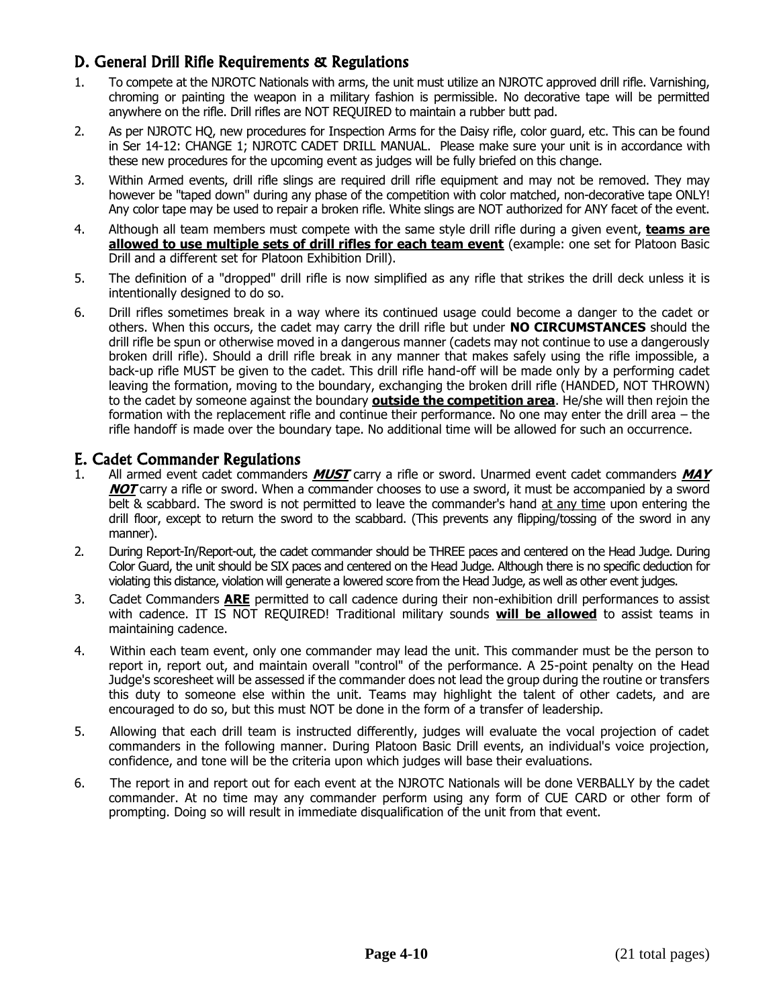# D. General Drill Rifle Requirements & Regulations

- 1. To compete at the NJROTC Nationals with arms, the unit must utilize an NJROTC approved drill rifle. Varnishing, chroming or painting the weapon in a military fashion is permissible. No decorative tape will be permitted anywhere on the rifle. Drill rifles are NOT REQUIRED to maintain a rubber butt pad.
- 2. As per NJROTC HQ, new procedures for Inspection Arms for the Daisy rifle, color guard, etc. This can be found in Ser 14-12: CHANGE 1; NJROTC CADET DRILL MANUAL. Please make sure your unit is in accordance with these new procedures for the upcoming event as judges will be fully briefed on this change.
- 3. Within Armed events, drill rifle slings are required drill rifle equipment and may not be removed. They may however be "taped down" during any phase of the competition with color matched, non-decorative tape ONLY! Any color tape may be used to repair a broken rifle. White slings are NOT authorized for ANY facet of the event.
- 4. Although all team members must compete with the same style drill rifle during a given event, **teams are allowed to use multiple sets of drill rifles for each team event** (example: one set for Platoon Basic Drill and a different set for Platoon Exhibition Drill).
- 5. The definition of a "dropped" drill rifle is now simplified as any rifle that strikes the drill deck unless it is intentionally designed to do so.
- 6. Drill rifles sometimes break in a way where its continued usage could become a danger to the cadet or others. When this occurs, the cadet may carry the drill rifle but under **NO CIRCUMSTANCES** should the drill rifle be spun or otherwise moved in a dangerous manner (cadets may not continue to use a dangerously broken drill rifle). Should a drill rifle break in any manner that makes safely using the rifle impossible, a back-up rifle MUST be given to the cadet. This drill rifle hand-off will be made only by a performing cadet leaving the formation, moving to the boundary, exchanging the broken drill rifle (HANDED, NOT THROWN) to the cadet by someone against the boundary **outside the competition area**. He/she will then rejoin the formation with the replacement rifle and continue their performance. No one may enter the drill area – the rifle handoff is made over the boundary tape. No additional time will be allowed for such an occurrence.

### E. Cadet Commander Regulations

- 1. All armed event cadet commanders **MUST** carry a rifle or sword. Unarmed event cadet commanders **MAY NOT** carry a rifle or sword. When a commander chooses to use a sword, it must be accompanied by a sword belt & scabbard. The sword is not permitted to leave the commander's hand at any time upon entering the drill floor, except to return the sword to the scabbard. (This prevents any flipping/tossing of the sword in any manner).
- 2. During Report-In/Report-out, the cadet commander should be THREE paces and centered on the Head Judge. During Color Guard, the unit should be SIX paces and centered on the Head Judge. Although there is no specific deduction for violating this distance, violation will generate a lowered score from the Head Judge, as well as other event judges.
- 3. Cadet Commanders **ARE** permitted to call cadence during their non-exhibition drill performances to assist with cadence. IT IS NOT REQUIRED! Traditional military sounds **will be allowed** to assist teams in maintaining cadence.
- 4. Within each team event, only one commander may lead the unit. This commander must be the person to report in, report out, and maintain overall "control" of the performance. A 25-point penalty on the Head Judge's scoresheet will be assessed if the commander does not lead the group during the routine or transfers this duty to someone else within the unit. Teams may highlight the talent of other cadets, and are encouraged to do so, but this must NOT be done in the form of a transfer of leadership.
- 5. Allowing that each drill team is instructed differently, judges will evaluate the vocal projection of cadet commanders in the following manner. During Platoon Basic Drill events, an individual's voice projection, confidence, and tone will be the criteria upon which judges will base their evaluations.
- 6. The report in and report out for each event at the NJROTC Nationals will be done VERBALLY by the cadet commander. At no time may any commander perform using any form of CUE CARD or other form of prompting. Doing so will result in immediate disqualification of the unit from that event.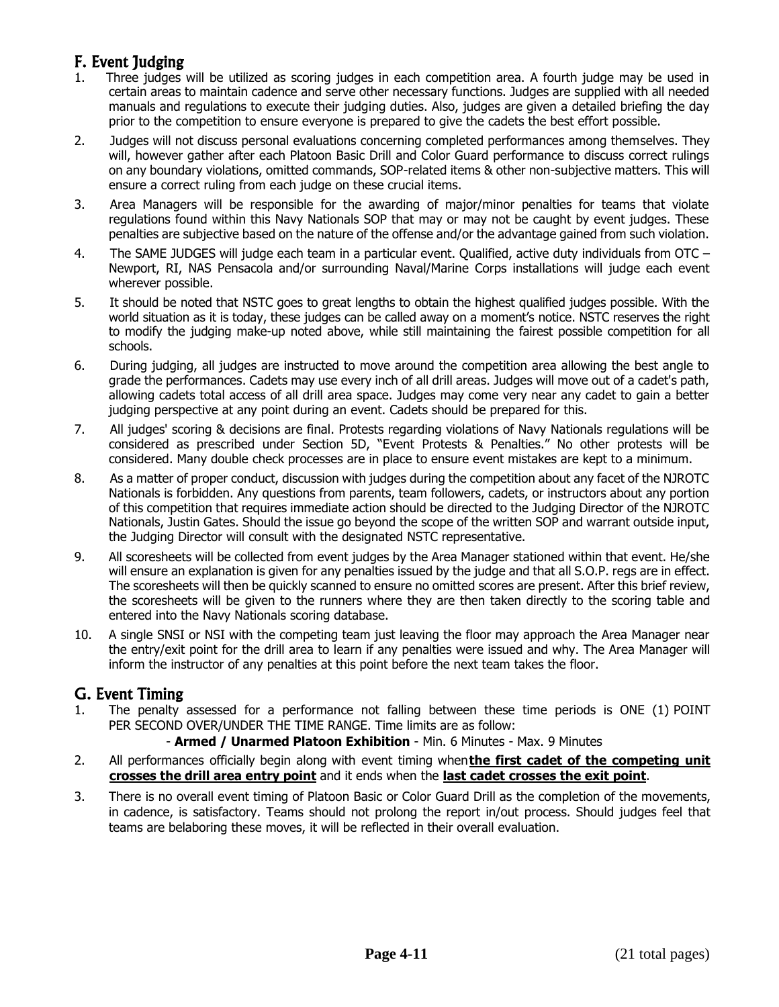# F. Event Judging

- 1. Three judges will be utilized as scoring judges in each competition area. A fourth judge may be used in certain areas to maintain cadence and serve other necessary functions. Judges are supplied with all needed manuals and regulations to execute their judging duties. Also, judges are given a detailed briefing the day prior to the competition to ensure everyone is prepared to give the cadets the best effort possible.
- 2. Judges will not discuss personal evaluations concerning completed performances among themselves. They will, however gather after each Platoon Basic Drill and Color Guard performance to discuss correct rulings on any boundary violations, omitted commands, SOP-related items & other non-subjective matters. This will ensure a correct ruling from each judge on these crucial items.
- 3. Area Managers will be responsible for the awarding of major/minor penalties for teams that violate regulations found within this Navy Nationals SOP that may or may not be caught by event judges. These penalties are subjective based on the nature of the offense and/or the advantage gained from such violation.
- 4. The SAME JUDGES will judge each team in a particular event. Qualified, active duty individuals from OTC Newport, RI, NAS Pensacola and/or surrounding Naval/Marine Corps installations will judge each event wherever possible.
- 5. It should be noted that NSTC goes to great lengths to obtain the highest qualified judges possible. With the world situation as it is today, these judges can be called away on a moment's notice. NSTC reserves the right to modify the judging make-up noted above, while still maintaining the fairest possible competition for all schools.
- 6. During judging, all judges are instructed to move around the competition area allowing the best angle to grade the performances. Cadets may use every inch of all drill areas. Judges will move out of a cadet's path, allowing cadets total access of all drill area space. Judges may come very near any cadet to gain a better judging perspective at any point during an event. Cadets should be prepared for this.
- 7. All judges' scoring & decisions are final. Protests regarding violations of Navy Nationals regulations will be considered as prescribed under Section 5D, "Event Protests & Penalties." No other protests will be considered. Many double check processes are in place to ensure event mistakes are kept to a minimum.
- 8. As a matter of proper conduct, discussion with judges during the competition about any facet of the NJROTC Nationals is forbidden. Any questions from parents, team followers, cadets, or instructors about any portion of this competition that requires immediate action should be directed to the Judging Director of the NJROTC Nationals, Justin Gates. Should the issue go beyond the scope of the written SOP and warrant outside input, the Judging Director will consult with the designated NSTC representative.
- 9. All scoresheets will be collected from event judges by the Area Manager stationed within that event. He/she will ensure an explanation is given for any penalties issued by the judge and that all S.O.P. regs are in effect. The scoresheets will then be quickly scanned to ensure no omitted scores are present. After this brief review, the scoresheets will be given to the runners where they are then taken directly to the scoring table and entered into the Navy Nationals scoring database.
- 10. A single SNSI or NSI with the competing team just leaving the floor may approach the Area Manager near the entry/exit point for the drill area to learn if any penalties were issued and why. The Area Manager will inform the instructor of any penalties at this point before the next team takes the floor.

## G. Event Timing

- 1. The penalty assessed for a performance not falling between these time periods is ONE (1) POINT PER SECOND OVER/UNDER THE TIME RANGE. Time limits are as follow:
	- **Armed / Unarmed Platoon Exhibition** Min. 6 Minutes Max. 9 Minutes
- 2. All performances officially begin along with event timing when**the first cadet of the competing unit crosses the drill area entry point** and it ends when the **last cadet crosses the exit point**.
- 3. There is no overall event timing of Platoon Basic or Color Guard Drill as the completion of the movements, in cadence, is satisfactory. Teams should not prolong the report in/out process. Should judges feel that teams are belaboring these moves, it will be reflected in their overall evaluation.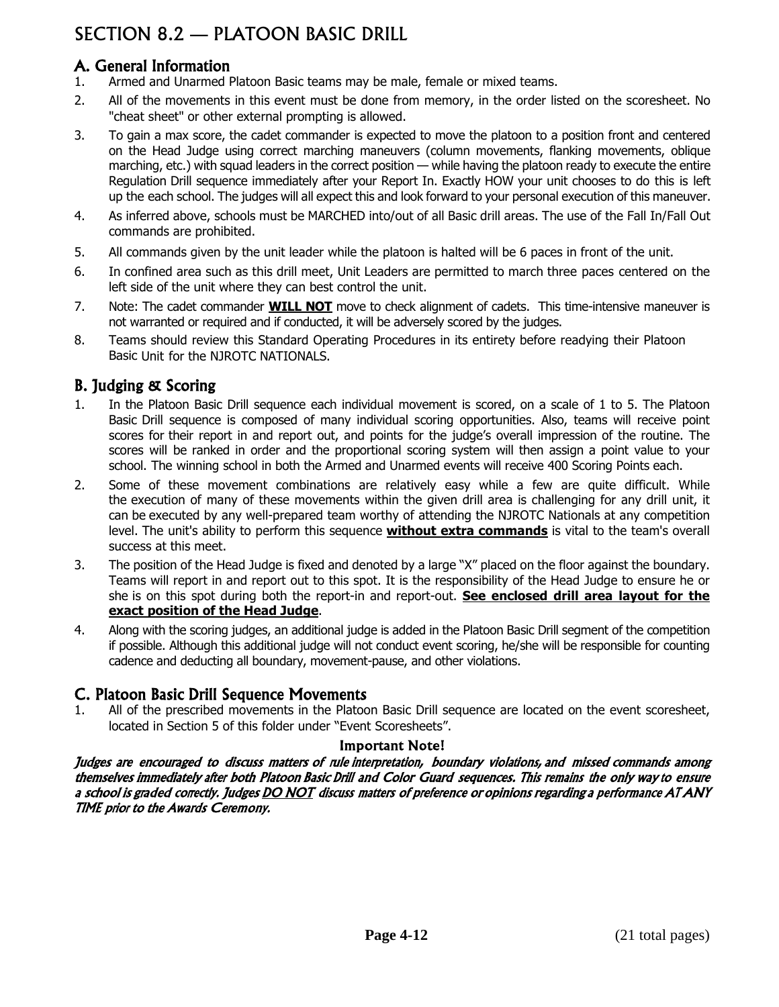# SECTION 8.2 — PLATOON BASIC DRILL

# A. General Information

- 1. Armed and Unarmed Platoon Basic teams may be male, female or mixed teams.
- 2. All of the movements in this event must be done from memory, in the order listed on the scoresheet. No "cheat sheet" or other external prompting is allowed.
- 3. To gain a max score, the cadet commander is expected to move the platoon to a position front and centered on the Head Judge using correct marching maneuvers (column movements, flanking movements, oblique marching, etc.) with squad leaders in the correct position — while having the platoon ready to execute the entire Regulation Drill sequence immediately after your Report In. Exactly HOW your unit chooses to do this is left up the each school. The judges will all expect this and look forward to your personal execution of this maneuver.
- 4. As inferred above, schools must be MARCHED into/out of all Basic drill areas. The use of the Fall In/Fall Out commands are prohibited.
- 5. All commands given by the unit leader while the platoon is halted will be 6 paces in front of the unit.
- 6. In confined area such as this drill meet, Unit Leaders are permitted to march three paces centered on the left side of the unit where they can best control the unit.
- 7. Note: The cadet commander **WILL NOT** move to check alignment of cadets. This time-intensive maneuver is not warranted or required and if conducted, it will be adversely scored by the judges.
- 8. Teams should review this Standard Operating Procedures in its entirety before readying their Platoon Basic Unit for the NJROTC NATIONALS.

# B. Judging & Scoring

- 1. In the Platoon Basic Drill sequence each individual movement is scored, on a scale of 1 to 5. The Platoon Basic Drill sequence is composed of many individual scoring opportunities. Also, teams will receive point scores for their report in and report out, and points for the judge's overall impression of the routine. The scores will be ranked in order and the proportional scoring system will then assign a point value to your school. The winning school in both the Armed and Unarmed events will receive 400 Scoring Points each.
- 2. Some of these movement combinations are relatively easy while a few are quite difficult. While the execution of many of these movements within the given drill area is challenging for any drill unit, it can be executed by any well-prepared team worthy of attending the NJROTC Nationals at any competition level. The unit's ability to perform this sequence **without extra commands** is vital to the team's overall success at this meet.
- 3. The position of the Head Judge is fixed and denoted by a large "X" placed on the floor against the boundary. Teams will report in and report out to this spot. It is the responsibility of the Head Judge to ensure he or she is on this spot during both the report-in and report-out. **See enclosed drill area layout for the exact position of the Head Judge**.
- 4. Along with the scoring judges, an additional judge is added in the Platoon Basic Drill segment of the competition if possible. Although this additional judge will not conduct event scoring, he/she will be responsible for counting cadence and deducting all boundary, movement-pause, and other violations.

## C. Platoon Basic Drill Sequence Movements

1. All of the prescribed movements in the Platoon Basic Drill sequence are located on the event scoresheet, located in Section 5 of this folder under "Event Scoresheets".

### Important Note!

Judges are encouraged to discuss matters of <sup>r</sup>ule interpretation, boundary violations, and missed commands among themselves immediately afte<sup>r</sup> both Platoon Basic Drill and Color Guard sequences. This remains the only way to ensur<sup>e</sup> a school is graded correctly. Judges DO NOT discuss matters of preference or opinions regarding a performance AT ANY TIME prio<sup>r</sup> to the Awards Ceremony.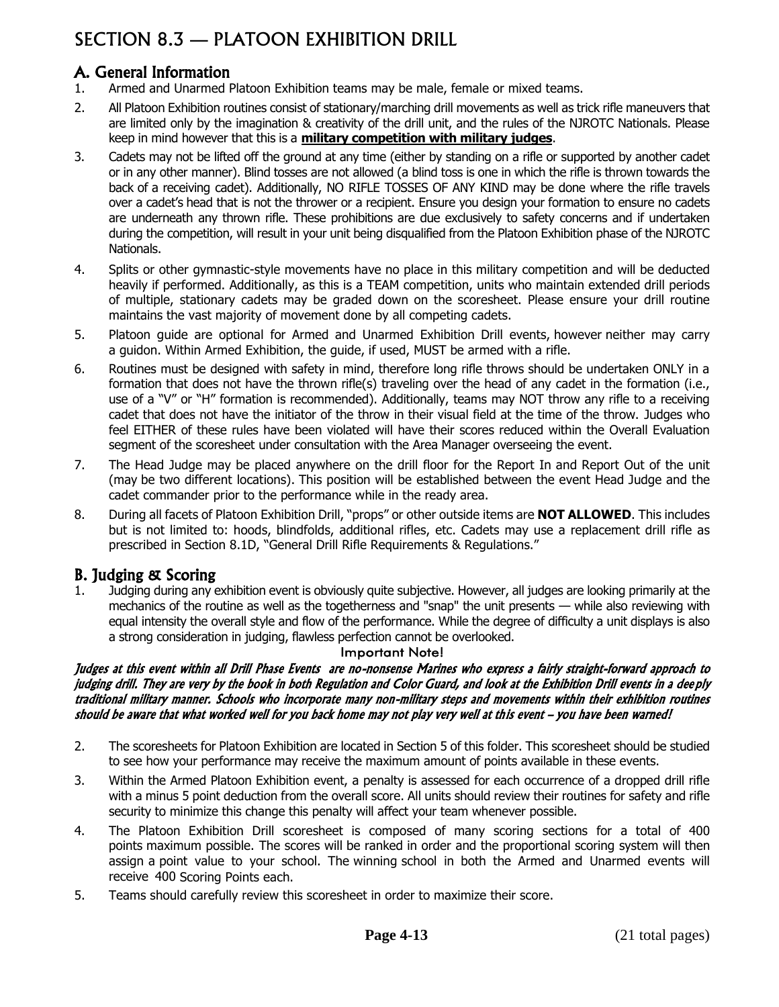# SECTION 8.3 — PLATOON EXHIBITION DRILL

# A. General Information

- 1. Armed and Unarmed Platoon Exhibition teams may be male, female or mixed teams.
- 2. All Platoon Exhibition routines consist of stationary/marching drill movements as well as trick rifle maneuvers that are limited only by the imagination & creativity of the drill unit, and the rules of the NJROTC Nationals. Please keep in mind however that this is a **military competition with military judges**.
- 3. Cadets may not be lifted off the ground at any time (either by standing on a rifle or supported by another cadet or in any other manner). Blind tosses are not allowed (a blind toss is one in which the rifle is thrown towards the back of a receiving cadet). Additionally, NO RIFLE TOSSES OF ANY KIND may be done where the rifle travels over a cadet's head that is not the thrower or a recipient. Ensure you design your formation to ensure no cadets are underneath any thrown rifle. These prohibitions are due exclusively to safety concerns and if undertaken during the competition, will result in your unit being disqualified from the Platoon Exhibition phase of the NJROTC Nationals.
- 4. Splits or other gymnastic-style movements have no place in this military competition and will be deducted heavily if performed. Additionally, as this is a TEAM competition, units who maintain extended drill periods of multiple, stationary cadets may be graded down on the scoresheet. Please ensure your drill routine maintains the vast majority of movement done by all competing cadets.
- 5. Platoon guide are optional for Armed and Unarmed Exhibition Drill events, however neither may carry a guidon. Within Armed Exhibition, the guide, if used, MUST be armed with a rifle.
- 6. Routines must be designed with safety in mind, therefore long rifle throws should be undertaken ONLY in a formation that does not have the thrown rifle(s) traveling over the head of any cadet in the formation (i.e., use of a "V" or "H" formation is recommended). Additionally, teams may NOT throw any rifle to a receiving cadet that does not have the initiator of the throw in their visual field at the time of the throw. Judges who feel EITHER of these rules have been violated will have their scores reduced within the Overall Evaluation segment of the scoresheet under consultation with the Area Manager overseeing the event.
- 7. The Head Judge may be placed anywhere on the drill floor for the Report In and Report Out of the unit (may be two different locations). This position will be established between the event Head Judge and the cadet commander prior to the performance while in the ready area.
- 8. During all facets of Platoon Exhibition Drill, "props" or other outside items are **NOT ALLOWED**. This includes but is not limited to: hoods, blindfolds, additional rifles, etc. Cadets may use a replacement drill rifle as prescribed in Section 8.1D, "General Drill Rifle Requirements & Regulations."

# B. Judging & Scoring

1. Judging during any exhibition event is obviously quite subjective. However, all judges are looking primarily at the mechanics of the routine as well as the togetherness and "snap" the unit presents — while also reviewing with equal intensity the overall style and flow of the performance. While the degree of difficulty a unit displays is also a strong consideration in judging, flawless perfection cannot be overlooked.

#### Important Note!

#### Judges at this event within all Drill Phase Events are no-nonsense Marines who express a fairly straight-forward approach to judging drill. They are very by the book in both Regulation and Color Guard, and look at the Exhibition Drill events in a dee ply traditional military manner. Schools who incorporate many non-military steps and movements within their exhibition routines should be aware that what worked well for you back home may not play very well at this event – you have been warned!

- 2. The scoresheets for Platoon Exhibition are located in Section 5 of this folder. This scoresheet should be studied to see how your performance may receive the maximum amount of points available in these events.
- 3. Within the Armed Platoon Exhibition event, a penalty is assessed for each occurrence of a dropped drill rifle with a minus 5 point deduction from the overall score. All units should review their routines for safety and rifle security to minimize this change this penalty will affect your team whenever possible.
- 4. The Platoon Exhibition Drill scoresheet is composed of many scoring sections for a total of 400 points maximum possible. The scores will be ranked in order and the proportional scoring system will then assign a point value to your school. The winning school in both the Armed and Unarmed events will receive 400 Scoring Points each.
- 5. Teams should carefully review this scoresheet in order to maximize their score.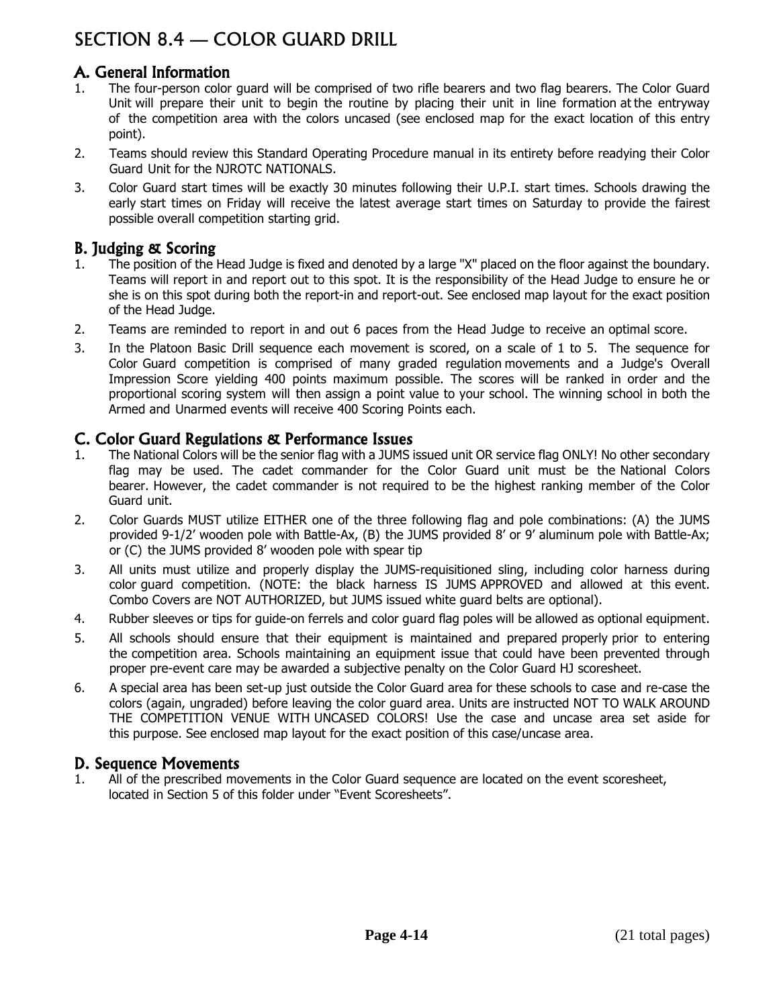# SECTION 8.4 — COLOR GUARD DRILL

# A. General Information

- 1. The four-person color guard will be comprised of two rifle bearers and two flag bearers. The Color Guard Unit will prepare their unit to begin the routine by placing their unit in line formation at the entryway of the competition area with the colors uncased (see enclosed map for the exact location of this entry point).
- 2. Teams should review this Standard Operating Procedure manual in its entirety before readying their Color Guard Unit for the NJROTC NATIONALS.
- 3. Color Guard start times will be exactly 30 minutes following their U.P.I. start times. Schools drawing the early start times on Friday will receive the latest average start times on Saturday to provide the fairest possible overall competition starting grid.

### B. Judging & Scoring

- 1. The position of the Head Judge is fixed and denoted by a large "X" placed on the floor against the boundary. Teams will report in and report out to this spot. It is the responsibility of the Head Judge to ensure he or she is on this spot during both the report-in and report-out. See enclosed map layout for the exact position of the Head Judge.
- 2. Teams are reminded to report in and out 6 paces from the Head Judge to receive an optimal score.
- 3. In the Platoon Basic Drill sequence each movement is scored, on a scale of 1 to 5. The sequence for Color Guard competition is comprised of many graded regulation movements and a Judge's Overall Impression Score yielding 400 points maximum possible. The scores will be ranked in order and the proportional scoring system will then assign a point value to your school. The winning school in both the Armed and Unarmed events will receive 400 Scoring Points each.

## C. Color Guard Regulations & Performance Issues

- 1. The National Colors will be the senior flag with a JUMS issued unit OR service flag ONLY! No other secondary flag may be used. The cadet commander for the Color Guard unit must be the National Colors bearer. However, the cadet commander is not required to be the highest ranking member of the Color Guard unit.
- 2. Color Guards MUST utilize EITHER one of the three following flag and pole combinations: (A) the JUMS provided 9-1/2' wooden pole with Battle-Ax, (B) the JUMS provided 8' or 9' aluminum pole with Battle-Ax; or (C) the JUMS provided 8' wooden pole with spear tip
- 3. All units must utilize and properly display the JUMS-requisitioned sling, including color harness during color guard competition. (NOTE: the black harness IS JUMS APPROVED and allowed at this event. Combo Covers are NOT AUTHORIZED, but JUMS issued white guard belts are optional).
- 4. Rubber sleeves or tips for guide-on ferrels and color guard flag poles will be allowed as optional equipment.
- 5. All schools should ensure that their equipment is maintained and prepared properly prior to entering the competition area. Schools maintaining an equipment issue that could have been prevented through proper pre-event care may be awarded a subjective penalty on the Color Guard HJ scoresheet.
- 6. A special area has been set-up just outside the Color Guard area for these schools to case and re-case the colors (again, ungraded) before leaving the color guard area. Units are instructed NOT TO WALK AROUND THE COMPETITION VENUE WITH UNCASED COLORS! Use the case and uncase area set aside for this purpose. See enclosed map layout for the exact position of this case/uncase area.

## D. Sequence Movements

1. All of the prescribed movements in the Color Guard sequence are located on the event scoresheet, located in Section 5 of this folder under "Event Scoresheets".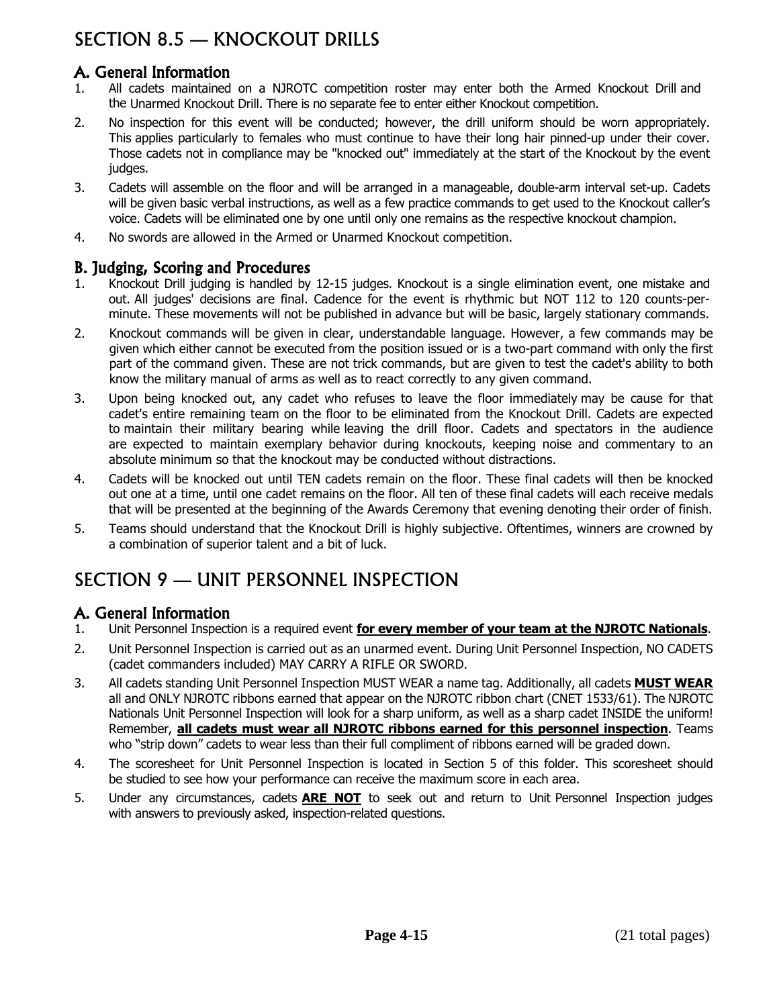# SECTION 8.5 — KNOCKOUT DRILLS

# A. General Information

- 1. All cadets maintained on a NJROTC competition roster may enter both the Armed Knockout Drill and the Unarmed Knockout Drill. There is no separate fee to enter either Knockout competition.
- 2. No inspection for this event will be conducted; however, the drill uniform should be worn appropriately. This applies particularly to females who must continue to have their long hair pinned-up under their cover. Those cadets not in compliance may be "knocked out" immediately at the start of the Knockout by the event judges.
- 3. Cadets will assemble on the floor and will be arranged in a manageable, double-arm interval set-up. Cadets will be given basic verbal instructions, as well as a few practice commands to get used to the Knockout caller's voice. Cadets will be eliminated one by one until only one remains as the respective knockout champion.
- 4. No swords are allowed in the Armed or Unarmed Knockout competition.

### B. Judging, Scoring and Procedures

- 1. Knockout Drill judging is handled by 12-15 judges. Knockout is a single elimination event, one mistake and out. All judges' decisions are final. Cadence for the event is rhythmic but NOT 112 to 120 counts-perminute. These movements will not be published in advance but will be basic, largely stationary commands.
- 2. Knockout commands will be given in clear, understandable language. However, a few commands may be given which either cannot be executed from the position issued or is a two-part command with only the first part of the command given. These are not trick commands, but are given to test the cadet's ability to both know the military manual of arms as well as to react correctly to any given command.
- 3. Upon being knocked out, any cadet who refuses to leave the floor immediately may be cause for that cadet's entire remaining team on the floor to be eliminated from the Knockout Drill. Cadets are expected to maintain their military bearing while leaving the drill floor. Cadets and spectators in the audience are expected to maintain exemplary behavior during knockouts, keeping noise and commentary to an absolute minimum so that the knockout may be conducted without distractions.
- 4. Cadets will be knocked out until TEN cadets remain on the floor. These final cadets will then be knocked out one at a time, until one cadet remains on the floor. All ten of these final cadets will each receive medals that will be presented at the beginning of the Awards Ceremony that evening denoting their order of finish.
- 5. Teams should understand that the Knockout Drill is highly subjective. Oftentimes, winners are crowned by a combination of superior talent and a bit of luck.

# SECTION 9 — UNIT PERSONNEL INSPECTION

## A. General Information

- 1. Unit Personnel Inspection is a required event **for every member of your team at the NJROTC Nationals**.
- 2. Unit Personnel Inspection is carried out as an unarmed event. During Unit Personnel Inspection, NO CADETS (cadet commanders included) MAY CARRY A RIFLE OR SWORD.
- 3. All cadets standing Unit Personnel Inspection MUST WEAR a name tag. Additionally, all cadets **MUST WEAR** all and ONLY NJROTC ribbons earned that appear on the NJROTC ribbon chart (CNET 1533/61). The NJROTC Nationals Unit Personnel Inspection will look for a sharp uniform, as well as a sharp cadet INSIDE the uniform! Remember, **all cadets must wear all NJROTC ribbons earned for this personnel inspection**. Teams who "strip down" cadets to wear less than their full compliment of ribbons earned will be graded down.
- 4. The scoresheet for Unit Personnel Inspection is located in Section 5 of this folder. This scoresheet should be studied to see how your performance can receive the maximum score in each area.
- 5. Under any circumstances, cadets **ARE NOT** to seek out and return to Unit Personnel Inspection judges with answers to previously asked, inspection-related questions.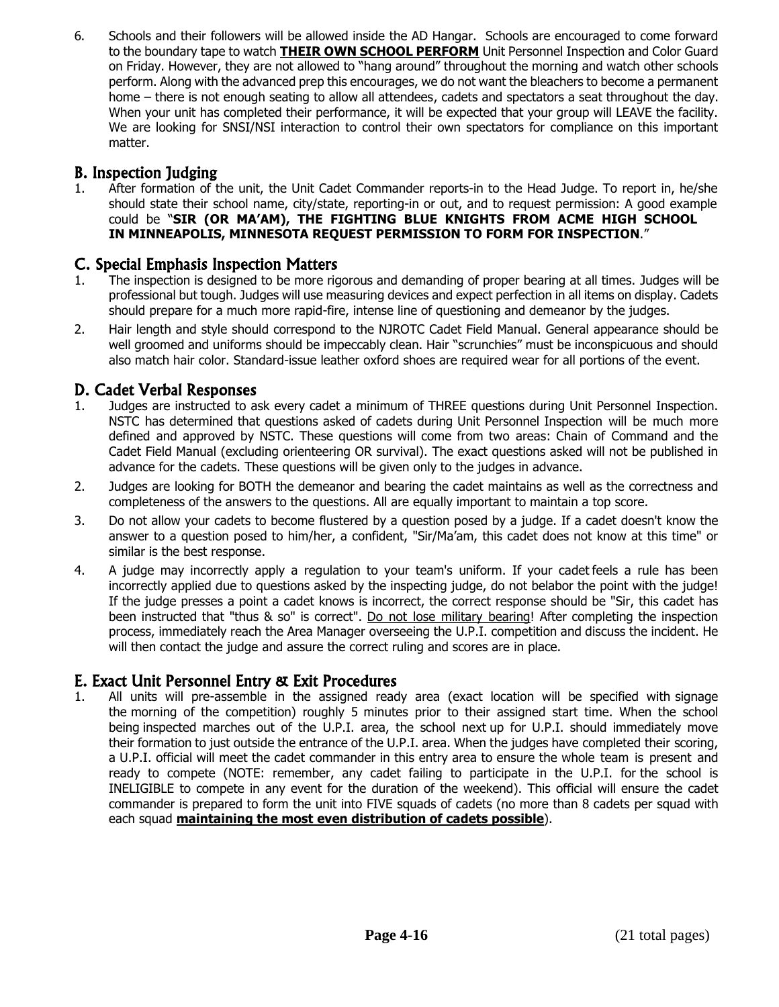6. Schools and their followers will be allowed inside the AD Hangar. Schools are encouraged to come forward to the boundary tape to watch **THEIR OWN SCHOOL PERFORM** Unit Personnel Inspection and Color Guard on Friday. However, they are not allowed to "hang around" throughout the morning and watch other schools perform. Along with the advanced prep this encourages, we do not want the bleachers to become a permanent home – there is not enough seating to allow all attendees, cadets and spectators a seat throughout the day. When your unit has completed their performance, it will be expected that your group will LEAVE the facility. We are looking for SNSI/NSI interaction to control their own spectators for compliance on this important matter.

# B. Inspection Judging

1. After formation of the unit, the Unit Cadet Commander reports-in to the Head Judge. To report in, he/she should state their school name, city/state, reporting-in or out, and to request permission: A good example could be "**SIR (OR MA'AM), THE FIGHTING BLUE KNIGHTS FROM ACME HIGH SCHOOL IN MINNEAPOLIS, MINNESOTA REQUEST PERMISSION TO FORM FOR INSPECTION**."

## C. Special Emphasis Inspection Matters

- 1. The inspection is designed to be more rigorous and demanding of proper bearing at all times. Judges will be professional but tough. Judges will use measuring devices and expect perfection in all items on display. Cadets should prepare for a much more rapid-fire, intense line of questioning and demeanor by the judges.
- 2. Hair length and style should correspond to the NJROTC Cadet Field Manual. General appearance should be well groomed and uniforms should be impeccably clean. Hair "scrunchies" must be inconspicuous and should also match hair color. Standard-issue leather oxford shoes are required wear for all portions of the event.

# D. Cadet Verbal Responses

- 1. Judges are instructed to ask every cadet a minimum of THREE questions during Unit Personnel Inspection. NSTC has determined that questions asked of cadets during Unit Personnel Inspection will be much more defined and approved by NSTC. These questions will come from two areas: Chain of Command and the Cadet Field Manual (excluding orienteering OR survival). The exact questions asked will not be published in advance for the cadets. These questions will be given only to the judges in advance.
- 2. Judges are looking for BOTH the demeanor and bearing the cadet maintains as well as the correctness and completeness of the answers to the questions. All are equally important to maintain a top score.
- 3. Do not allow your cadets to become flustered by a question posed by a judge. If a cadet doesn't know the answer to a question posed to him/her, a confident, "Sir/Ma'am, this cadet does not know at this time" or similar is the best response.
- 4. A judge may incorrectly apply a regulation to your team's uniform. If your cadet feels a rule has been incorrectly applied due to questions asked by the inspecting judge, do not belabor the point with the judge! If the judge presses a point a cadet knows is incorrect, the correct response should be "Sir, this cadet has been instructed that "thus & so" is correct". Do not lose military bearing! After completing the inspection process, immediately reach the Area Manager overseeing the U.P.I. competition and discuss the incident. He will then contact the judge and assure the correct ruling and scores are in place.

## E. Exact Unit Personnel Entry & Exit Procedures

1. All units will pre-assemble in the assigned ready area (exact location will be specified with signage the morning of the competition) roughly 5 minutes prior to their assigned start time. When the school being inspected marches out of the U.P.I. area, the school next up for U.P.I. should immediately move their formation to just outside the entrance of the U.P.I. area. When the judges have completed their scoring, a U.P.I. official will meet the cadet commander in this entry area to ensure the whole team is present and ready to compete (NOTE: remember, any cadet failing to participate in the U.P.I. for the school is INELIGIBLE to compete in any event for the duration of the weekend). This official will ensure the cadet commander is prepared to form the unit into FIVE squads of cadets (no more than 8 cadets per squad with each squad **maintaining the most even distribution of cadets possible**).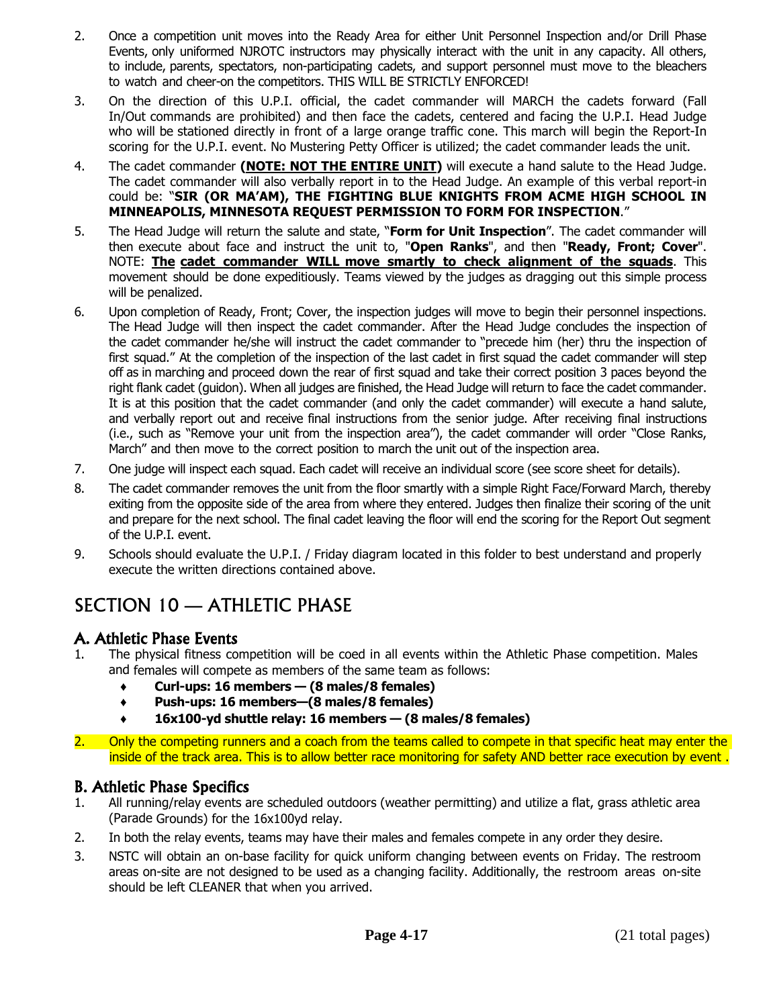- 2. Once a competition unit moves into the Ready Area for either Unit Personnel Inspection and/or Drill Phase Events, only uniformed NJROTC instructors may physically interact with the unit in any capacity. All others, to include, parents, spectators, non-participating cadets, and support personnel must move to the bleachers to watch and cheer-on the competitors. THIS WILL BE STRICTLY ENFORCED!
- 3. On the direction of this U.P.I. official, the cadet commander will MARCH the cadets forward (Fall In/Out commands are prohibited) and then face the cadets, centered and facing the U.P.I. Head Judge who will be stationed directly in front of a large orange traffic cone. This march will begin the Report-In scoring for the U.P.I. event. No Mustering Petty Officer is utilized; the cadet commander leads the unit.
- 4. The cadet commander **(NOTE: NOT THE ENTIRE UNIT)** will execute a hand salute to the Head Judge. The cadet commander will also verbally report in to the Head Judge. An example of this verbal report-in could be: "**SIR (OR MA'AM), THE FIGHTING BLUE KNIGHTS FROM ACME HIGH SCHOOL IN MINNEAPOLIS, MINNESOTA REQUEST PERMISSION TO FORM FOR INSPECTION**."
- 5. The Head Judge will return the salute and state, "**Form for Unit Inspection**". The cadet commander will then execute about face and instruct the unit to, "**Open Ranks**", and then "**Ready, Front; Cover**". NOTE: **The cadet commander WILL move smartly to check alignment of the squads**. This movement should be done expeditiously. Teams viewed by the judges as dragging out this simple process will be penalized.
- 6. Upon completion of Ready, Front; Cover, the inspection judges will move to begin their personnel inspections. The Head Judge will then inspect the cadet commander. After the Head Judge concludes the inspection of the cadet commander he/she will instruct the cadet commander to "precede him (her) thru the inspection of first squad." At the completion of the inspection of the last cadet in first squad the cadet commander will step off as in marching and proceed down the rear of first squad and take their correct position 3 paces beyond the right flank cadet (guidon). When all judges are finished, the Head Judge will return to face the cadet commander. It is at this position that the cadet commander (and only the cadet commander) will execute a hand salute, and verbally report out and receive final instructions from the senior judge. After receiving final instructions (i.e., such as "Remove your unit from the inspection area"), the cadet commander will order "Close Ranks, March" and then move to the correct position to march the unit out of the inspection area.
- 7. One judge will inspect each squad. Each cadet will receive an individual score (see score sheet for details).
- 8. The cadet commander removes the unit from the floor smartly with a simple Right Face/Forward March, thereby exiting from the opposite side of the area from where they entered. Judges then finalize their scoring of the unit and prepare for the next school. The final cadet leaving the floor will end the scoring for the Report Out segment of the U.P.I. event.
- 9. Schools should evaluate the U.P.I. / Friday diagram located in this folder to best understand and properly execute the written directions contained above.

# SECTION 10 — ATHLETIC PHASE

## A. Athletic Phase Events

- The physical fitness competition will be coed in all events within the Athletic Phase competition. Males and females will compete as members of the same team as follows:
	- **♦ Curl-ups: 16 members — (8 males/8 females)**
	- **♦ Push-ups: 16 members—(8 males/8 females)**
	- **♦ 16x100-yd shuttle relay: 16 members — (8 males/8 females)**
- 2. Only the competing runners and a coach from the teams called to compete in that specific heat may enter the inside of the track area. This is to allow better race monitoring for safety AND better race execution by event .

### B. Athletic Phase Specifics

- 1. All running/relay events are scheduled outdoors (weather permitting) and utilize a flat, grass athletic area (Parade Grounds) for the 16x100yd relay.
- 2. In both the relay events, teams may have their males and females compete in any order they desire.
- 3. NSTC will obtain an on-base facility for quick uniform changing between events on Friday. The restroom areas on-site are not designed to be used as a changing facility. Additionally, the restroom areas on-site should be left CLEANER that when you arrived.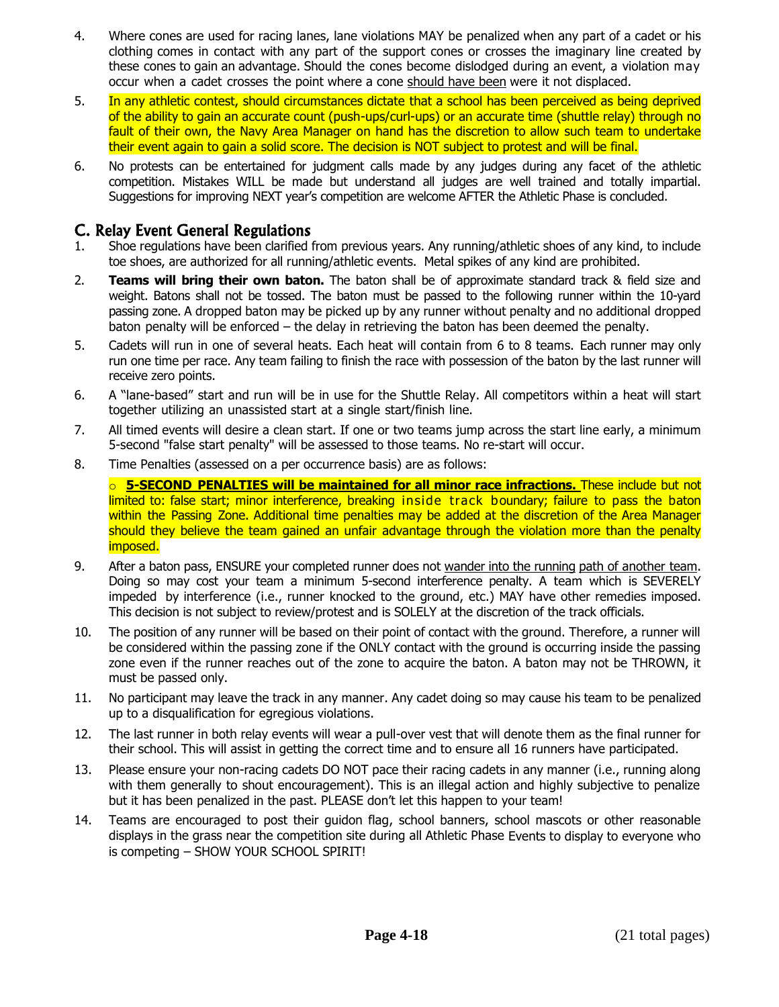- 4. Where cones are used for racing lanes, lane violations MAY be penalized when any part of a cadet or his clothing comes in contact with any part of the support cones or crosses the imaginary line created by these cones to gain an advantage. Should the cones become dislodged during an event, a violation may occur when a cadet crosses the point where a cone should have been were it not displaced.
- 5. In any athletic contest, should circumstances dictate that a school has been perceived as being deprived of the ability to gain an accurate count (push-ups/curl-ups) or an accurate time (shuttle relay) through no fault of their own, the Navy Area Manager on hand has the discretion to allow such team to undertake their event again to gain a solid score. The decision is NOT subject to protest and will be final.
- 6. No protests can be entertained for judgment calls made by any judges during any facet of the athletic competition. Mistakes WILL be made but understand all judges are well trained and totally impartial. Suggestions for improving NEXT year's competition are welcome AFTER the Athletic Phase is concluded.

### C. Relay Event General Regulations

- 1. Shoe regulations have been clarified from previous years. Any running/athletic shoes of any kind, to include toe shoes, are authorized for all running/athletic events. Metal spikes of any kind are prohibited.
- 2. **Teams will bring their own baton.** The baton shall be of approximate standard track & field size and weight. Batons shall not be tossed. The baton must be passed to the following runner within the 10-yard passing zone. A dropped baton may be picked up by any runner without penalty and no additional dropped baton penalty will be enforced – the delay in retrieving the baton has been deemed the penalty.
- 5. Cadets will run in one of several heats. Each heat will contain from 6 to 8 teams. Each runner may only run one time per race. Any team failing to finish the race with possession of the baton by the last runner will receive zero points.
- 6. A "lane-based" start and run will be in use for the Shuttle Relay. All competitors within a heat will start together utilizing an unassisted start at a single start/finish line.
- 7. All timed events will desire a clean start. If one or two teams jump across the start line early, a minimum 5-second "false start penalty" will be assessed to those teams. No re-start will occur.
- 8. Time Penalties (assessed on a per occurrence basis) are as follows:

o **5-SECOND PENALTIES will be maintained for all minor race infractions.** These include but not limited to: false start; minor interference, breaking inside track boundary; failure to pass the baton within the Passing Zone. Additional time penalties may be added at the discretion of the Area Manager should they believe the team gained an unfair advantage through the violation more than the penalty imposed.

- 9. After a baton pass, ENSURE your completed runner does not wander into the running path of another team. Doing so may cost your team a minimum 5-second interference penalty. A team which is SEVERELY impeded by interference (i.e., runner knocked to the ground, etc.) MAY have other remedies imposed. This decision is not subject to review/protest and is SOLELY at the discretion of the track officials.
- 10. The position of any runner will be based on their point of contact with the ground. Therefore, a runner will be considered within the passing zone if the ONLY contact with the ground is occurring inside the passing zone even if the runner reaches out of the zone to acquire the baton. A baton may not be THROWN, it must be passed only.
- 11. No participant may leave the track in any manner. Any cadet doing so may cause his team to be penalized up to a disqualification for egregious violations.
- 12. The last runner in both relay events will wear a pull-over vest that will denote them as the final runner for their school. This will assist in getting the correct time and to ensure all 16 runners have participated.
- 13. Please ensure your non-racing cadets DO NOT pace their racing cadets in any manner (i.e., running along with them generally to shout encouragement). This is an illegal action and highly subjective to penalize but it has been penalized in the past. PLEASE don't let this happen to your team!
- 14. Teams are encouraged to post their guidon flag, school banners, school mascots or other reasonable displays in the grass near the competition site during all Athletic Phase Events to display to everyone who is competing – SHOW YOUR SCHOOL SPIRIT!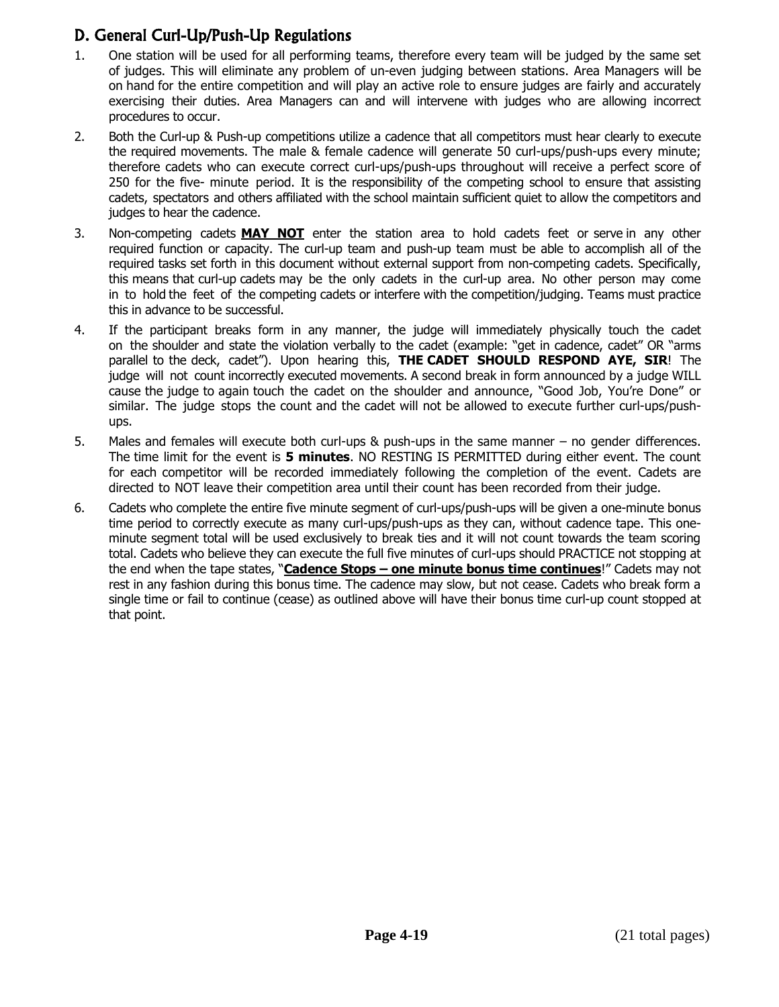# D. General Curl-Up/Push-Up Regulations

- 1. One station will be used for all performing teams, therefore every team will be judged by the same set of judges. This will eliminate any problem of un-even judging between stations. Area Managers will be on hand for the entire competition and will play an active role to ensure judges are fairly and accurately exercising their duties. Area Managers can and will intervene with judges who are allowing incorrect procedures to occur.
- 2. Both the Curl-up & Push-up competitions utilize a cadence that all competitors must hear clearly to execute the required movements. The male & female cadence will generate 50 curl-ups/push-ups every minute; therefore cadets who can execute correct curl-ups/push-ups throughout will receive a perfect score of 250 for the five- minute period. It is the responsibility of the competing school to ensure that assisting cadets, spectators and others affiliated with the school maintain sufficient quiet to allow the competitors and judges to hear the cadence.
- 3. Non-competing cadets **MAY NOT** enter the station area to hold cadets feet or serve in any other required function or capacity. The curl-up team and push-up team must be able to accomplish all of the required tasks set forth in this document without external support from non-competing cadets. Specifically, this means that curl-up cadets may be the only cadets in the curl-up area. No other person may come in to hold the feet of the competing cadets or interfere with the competition/judging. Teams must practice this in advance to be successful.
- 4. If the participant breaks form in any manner, the judge will immediately physically touch the cadet on the shoulder and state the violation verbally to the cadet (example: "get in cadence, cadet" OR "arms parallel to the deck, cadet"). Upon hearing this, **THE CADET SHOULD RESPOND AYE, SIR**! The judge will not count incorrectly executed movements. A second break in form announced by a judge WILL cause the judge to again touch the cadet on the shoulder and announce, "Good Job, You're Done" or similar. The judge stops the count and the cadet will not be allowed to execute further curl-ups/pushups.
- 5. Males and females will execute both curl-ups & push-ups in the same manner no gender differences. The time limit for the event is **5 minutes**. NO RESTING IS PERMITTED during either event. The count for each competitor will be recorded immediately following the completion of the event. Cadets are directed to NOT leave their competition area until their count has been recorded from their judge.
- 6. Cadets who complete the entire five minute segment of curl-ups/push-ups will be given a one-minute bonus time period to correctly execute as many curl-ups/push-ups as they can, without cadence tape. This oneminute segment total will be used exclusively to break ties and it will not count towards the team scoring total. Cadets who believe they can execute the full five minutes of curl-ups should PRACTICE not stopping at the end when the tape states, "**Cadence Stops – one minute bonus time continues**!" Cadets may not rest in any fashion during this bonus time. The cadence may slow, but not cease. Cadets who break form a single time or fail to continue (cease) as outlined above will have their bonus time curl-up count stopped at that point.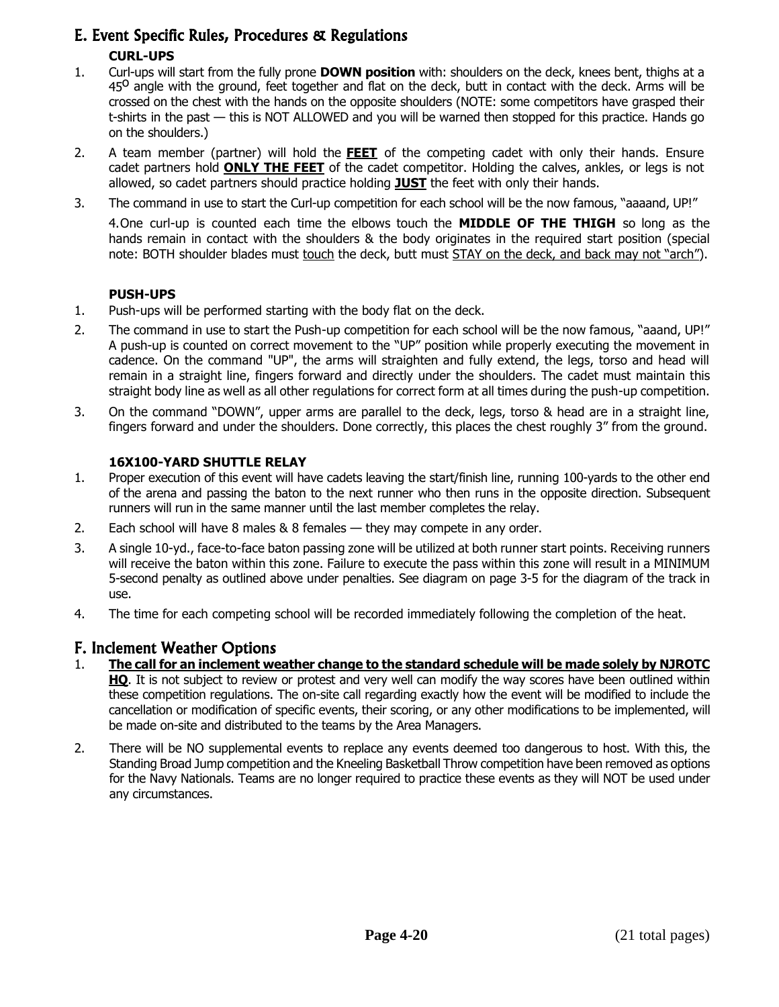# E. Event Specific Rules, Procedures & Regulations

### **CURL-UPS**

- 1. Curl-ups will start from the fully prone **DOWN position** with: shoulders on the deck, knees bent, thighs at a and the minimum with the range with the contact of the second mandature of the deck, have being angled with the ground, feet together and flat on the deck, butt in contact with the deck. Arms will be crossed on the chest with the hands on the opposite shoulders (NOTE: some competitors have grasped their t-shirts in the past — this is NOT ALLOWED and you will be warned then stopped for this practice. Hands go on the shoulders.)
- 2. A team member (partner) will hold the **FEET** of the competing cadet with only their hands. Ensure cadet partners hold **ONLY THE FEET** of the cadet competitor. Holding the calves, ankles, or legs is not allowed, so cadet partners should practice holding **JUST** the feet with only their hands.
- 3. The command in use to start the Curl-up competition for each school will be the now famous, "aaaand, UP!"

4.One curl-up is counted each time the elbows touch the **MIDDLE OF THE THIGH** so long as the hands remain in contact with the shoulders & the body originates in the required start position (special note: BOTH shoulder blades must touch the deck, butt must STAY on the deck, and back may not "arch").

### **PUSH-UPS**

- 1. Push-ups will be performed starting with the body flat on the deck.
- 2. The command in use to start the Push-up competition for each school will be the now famous, "aaand, UP!" A push-up is counted on correct movement to the "UP" position while properly executing the movement in cadence. On the command "UP", the arms will straighten and fully extend, the legs, torso and head will remain in a straight line, fingers forward and directly under the shoulders. The cadet must maintain this straight body line as well as all other regulations for correct form at all times during the push-up competition.
- 3. On the command "DOWN", upper arms are parallel to the deck, legs, torso & head are in a straight line, fingers forward and under the shoulders. Done correctly, this places the chest roughly 3" from the ground.

#### **16X100-YARD SHUTTLE RELAY**

- 1. Proper execution of this event will have cadets leaving the start/finish line, running 100-yards to the other end of the arena and passing the baton to the next runner who then runs in the opposite direction. Subsequent runners will run in the same manner until the last member completes the relay.
- 2. Each school will have 8 males  $\&$  8 females  $-$  they may compete in any order.
- 3. A single 10-yd., face-to-face baton passing zone will be utilized at both runner start points. Receiving runners will receive the baton within this zone. Failure to execute the pass within this zone will result in a MINIMUM 5-second penalty as outlined above under penalties. See diagram on page 3-5 for the diagram of the track in use.
- 4. The time for each competing school will be recorded immediately following the completion of the heat.

## F. Inclement Weather Options

- 1. **The call for an inclement weather change to the standard schedule will be made solely by NJROTC HQ**. It is not subject to review or protest and very well can modify the way scores have been outlined within these competition regulations. The on-site call regarding exactly how the event will be modified to include the cancellation or modification of specific events, their scoring, or any other modifications to be implemented, will be made on-site and distributed to the teams by the Area Managers.
- 2. There will be NO supplemental events to replace any events deemed too dangerous to host. With this, the Standing Broad Jump competition and the Kneeling Basketball Throw competition have been removed as options for the Navy Nationals. Teams are no longer required to practice these events as they will NOT be used under any circumstances.